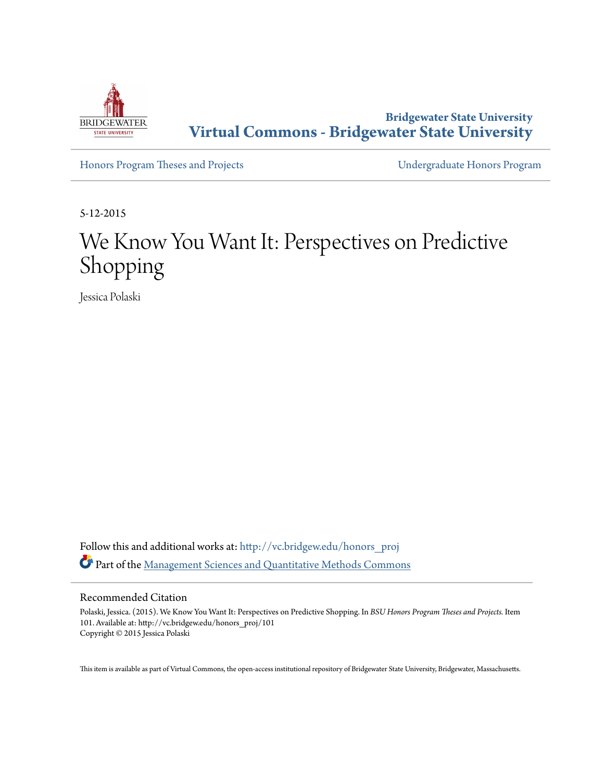

**Bridgewater State University [Virtual Commons - Bridgewater State University](http://vc.bridgew.edu?utm_source=vc.bridgew.edu%2Fhonors_proj%2F101&utm_medium=PDF&utm_campaign=PDFCoverPages)**

[Honors Program Theses and Projects](http://vc.bridgew.edu/honors_proj?utm_source=vc.bridgew.edu%2Fhonors_proj%2F101&utm_medium=PDF&utm_campaign=PDFCoverPages) [Undergraduate Honors Program](http://vc.bridgew.edu/honors?utm_source=vc.bridgew.edu%2Fhonors_proj%2F101&utm_medium=PDF&utm_campaign=PDFCoverPages)

5-12-2015

## We Know You Want It: Perspectives on Predictive Shopping

Jessica Polaski

Follow this and additional works at: [http://vc.bridgew.edu/honors\\_proj](http://vc.bridgew.edu/honors_proj?utm_source=vc.bridgew.edu%2Fhonors_proj%2F101&utm_medium=PDF&utm_campaign=PDFCoverPages) Part of the [Management Sciences and Quantitative Methods Commons](http://network.bepress.com/hgg/discipline/637?utm_source=vc.bridgew.edu%2Fhonors_proj%2F101&utm_medium=PDF&utm_campaign=PDFCoverPages)

#### Recommended Citation

Polaski, Jessica. (2015). We Know You Want It: Perspectives on Predictive Shopping. In *BSU Honors Program Theses and Projects.* Item 101. Available at: http://vc.bridgew.edu/honors\_proj/101 Copyright © 2015 Jessica Polaski

This item is available as part of Virtual Commons, the open-access institutional repository of Bridgewater State University, Bridgewater, Massachusetts.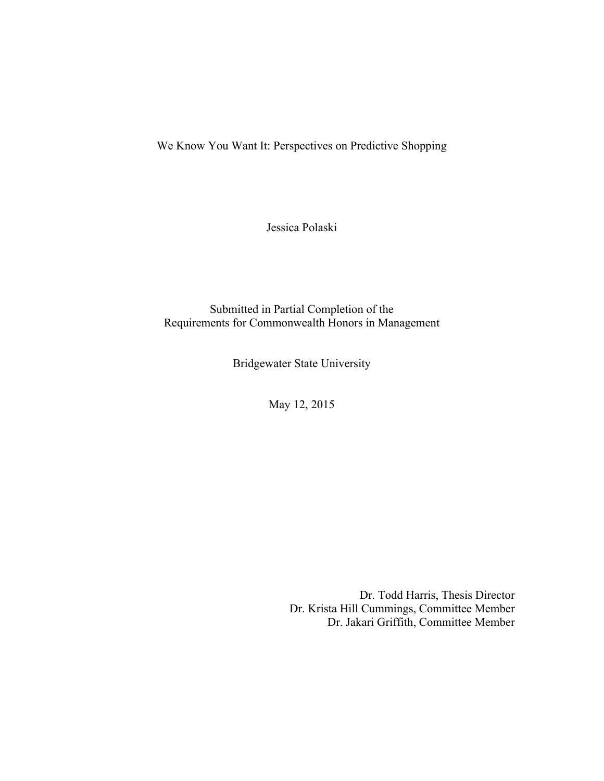We Know You Want It: Perspectives on Predictive Shopping

Jessica Polaski

Submitted in Partial Completion of the Requirements for Commonwealth Honors in Management

Bridgewater State University

May 12, 2015

Dr. Todd Harris, Thesis Director Dr. Krista Hill Cummings, Committee Member Dr. Jakari Griffith, Committee Member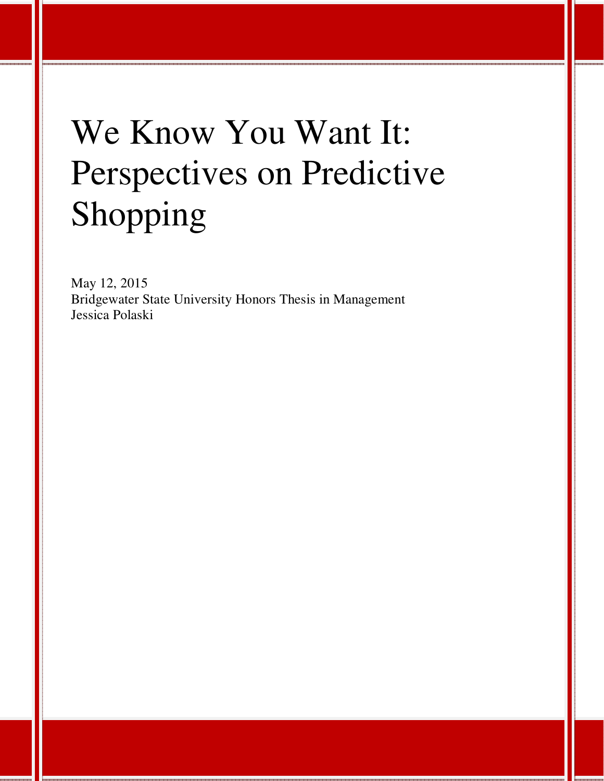# We Know You Want It: Perspectives on Predictive Shopping

May 12, 2015 Bridgewater State University Honors Thesis in Management Jessica Polaski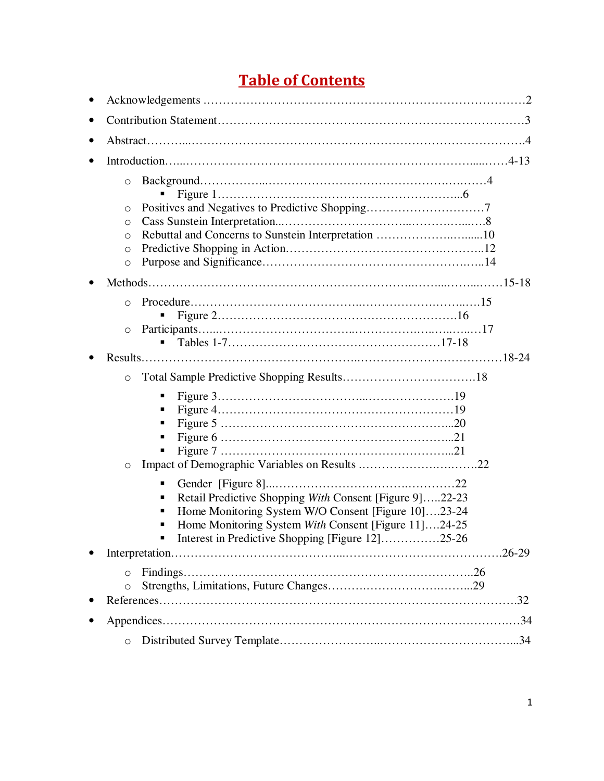### **Table of Contents**

| $\circ$<br>O<br>$\circ$<br>Rebuttal and Concerns to Sunstein Interpretation 10<br>$\circ$<br>$\circ$<br>O                                                                                                                       |  |
|---------------------------------------------------------------------------------------------------------------------------------------------------------------------------------------------------------------------------------|--|
|                                                                                                                                                                                                                                 |  |
| $\Omega$<br>$\circ$                                                                                                                                                                                                             |  |
|                                                                                                                                                                                                                                 |  |
| $\circ$                                                                                                                                                                                                                         |  |
| O                                                                                                                                                                                                                               |  |
| ٠<br>Retail Predictive Shopping With Consent [Figure 9]22-23<br>Home Monitoring System W/O Consent [Figure 10]23-24<br>Home Monitoring System With Consent [Figure 11]24-25<br>Interest in Predictive Shopping [Figure 12]25-26 |  |
|                                                                                                                                                                                                                                 |  |
| $\Omega$<br>$\circ$                                                                                                                                                                                                             |  |
|                                                                                                                                                                                                                                 |  |
| $\circ$                                                                                                                                                                                                                         |  |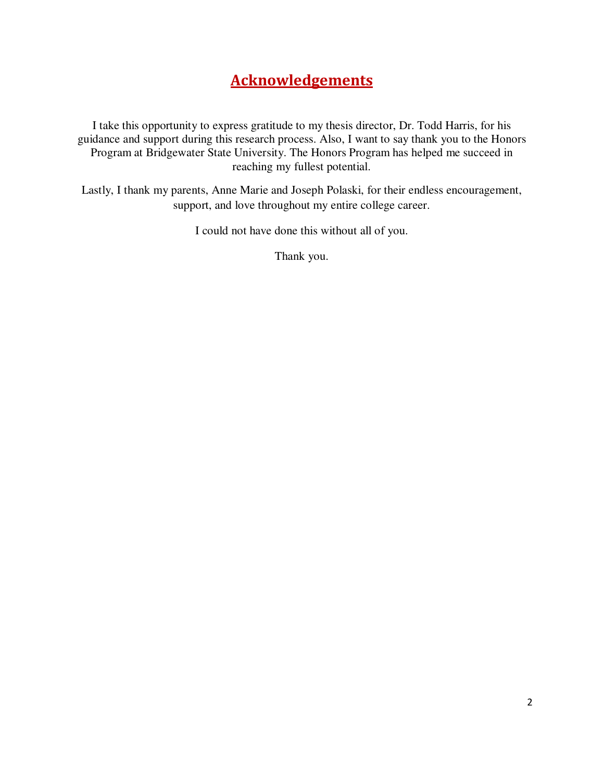#### **Acknowledgements**

I take this opportunity to express gratitude to my thesis director, Dr. Todd Harris, for his guidance and support during this research process. Also, I want to say thank you to the Honors Program at Bridgewater State University. The Honors Program has helped me succeed in reaching my fullest potential.

Lastly, I thank my parents, Anne Marie and Joseph Polaski, for their endless encouragement, support, and love throughout my entire college career.

I could not have done this without all of you.

Thank you.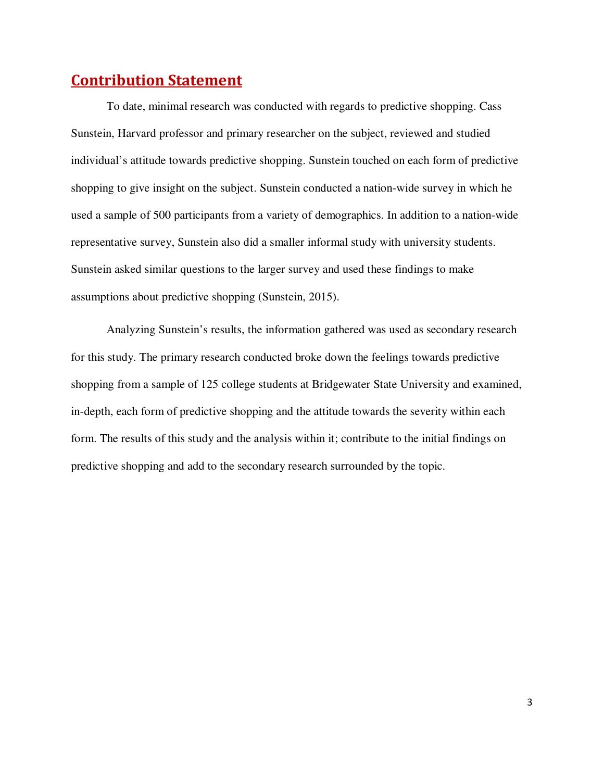#### **Contribution Statement**

To date, minimal research was conducted with regards to predictive shopping. Cass Sunstein, Harvard professor and primary researcher on the subject, reviewed and studied individual's attitude towards predictive shopping. Sunstein touched on each form of predictive shopping to give insight on the subject. Sunstein conducted a nation-wide survey in which he used a sample of 500 participants from a variety of demographics. In addition to a nation-wide representative survey, Sunstein also did a smaller informal study with university students. Sunstein asked similar questions to the larger survey and used these findings to make assumptions about predictive shopping (Sunstein, 2015).

Analyzing Sunstein's results, the information gathered was used as secondary research for this study. The primary research conducted broke down the feelings towards predictive shopping from a sample of 125 college students at Bridgewater State University and examined, in-depth, each form of predictive shopping and the attitude towards the severity within each form. The results of this study and the analysis within it; contribute to the initial findings on predictive shopping and add to the secondary research surrounded by the topic.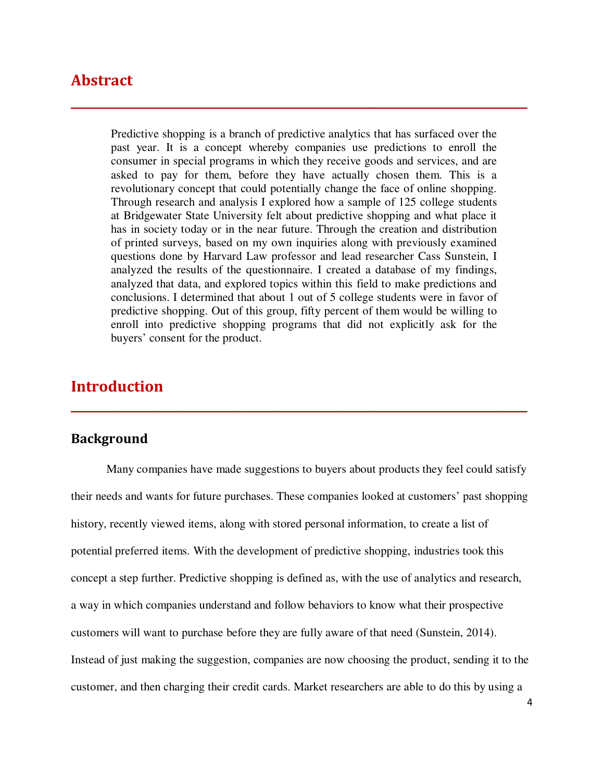#### **Abstract**

Predictive shopping is a branch of predictive analytics that has surfaced over the past year. It is a concept whereby companies use predictions to enroll the consumer in special programs in which they receive goods and services, and are asked to pay for them, before they have actually chosen them. This is a revolutionary concept that could potentially change the face of online shopping. Through research and analysis I explored how a sample of 125 college students at Bridgewater State University felt about predictive shopping and what place it has in society today or in the near future. Through the creation and distribution of printed surveys, based on my own inquiries along with previously examined questions done by Harvard Law professor and lead researcher Cass Sunstein, I analyzed the results of the questionnaire. I created a database of my findings, analyzed that data, and explored topics within this field to make predictions and conclusions. I determined that about 1 out of 5 college students were in favor of predictive shopping. Out of this group, fifty percent of them would be willing to enroll into predictive shopping programs that did not explicitly ask for the buyers' consent for the product.

**\_\_\_\_\_\_\_\_\_\_\_\_\_\_\_\_\_\_\_\_\_\_\_\_\_\_\_\_\_\_\_\_\_\_\_\_\_\_\_\_\_\_\_\_\_\_\_\_\_\_\_\_\_\_\_\_\_\_\_\_\_\_\_\_\_\_\_\_\_\_\_\_\_\_\_\_\_\_**

#### **Introduction**

#### **Background**

Many companies have made suggestions to buyers about products they feel could satisfy their needs and wants for future purchases. These companies looked at customers' past shopping history, recently viewed items, along with stored personal information, to create a list of potential preferred items. With the development of predictive shopping, industries took this concept a step further. Predictive shopping is defined as, with the use of analytics and research, a way in which companies understand and follow behaviors to know what their prospective customers will want to purchase before they are fully aware of that need (Sunstein, 2014). Instead of just making the suggestion, companies are now choosing the product, sending it to the customer, and then charging their credit cards. Market researchers are able to do this by using a

**\_\_\_\_\_\_\_\_\_\_\_\_\_\_\_\_\_\_\_\_\_\_\_\_\_\_\_\_\_\_\_\_\_\_\_\_\_\_\_\_\_\_\_\_\_\_\_\_\_\_\_\_\_\_\_\_\_\_\_\_\_\_\_\_\_\_\_\_\_\_\_\_\_\_\_\_\_\_**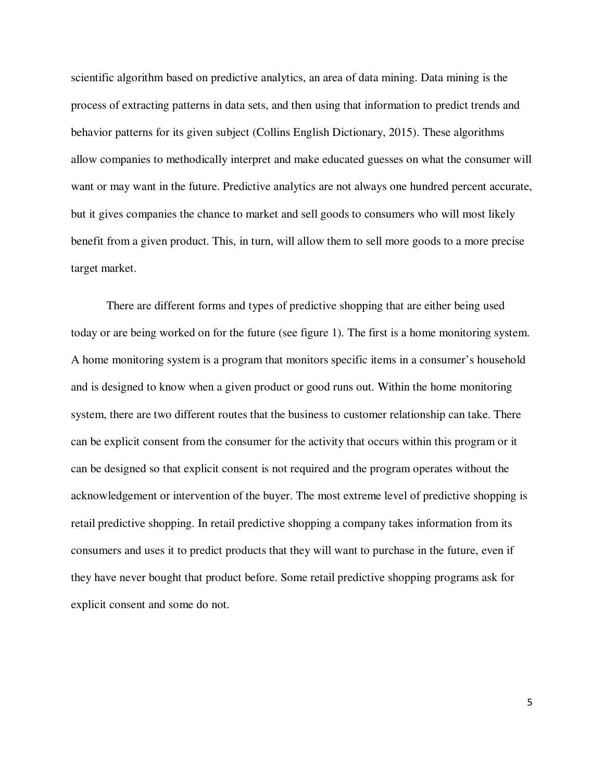scientific algorithm based on predictive analytics, an area of data mining. Data mining is the process of extracting patterns in data sets, and then using that information to predict trends and behavior patterns for its given subject (Collins English Dictionary, 2015). These algorithms allow companies to methodically interpret and make educated guesses on what the consumer will want or may want in the future. Predictive analytics are not always one hundred percent accurate, but it gives companies the chance to market and sell goods to consumers who will most likely benefit from a given product. This, in turn, will allow them to sell more goods to a more precise target market.

There are different forms and types of predictive shopping that are either being used today or are being worked on for the future (see figure 1). The first is a home monitoring system. A home monitoring system is a program that monitors specific items in a consumer's household and is designed to know when a given product or good runs out. Within the home monitoring system, there are two different routes that the business to customer relationship can take. There can be explicit consent from the consumer for the activity that occurs within this program or it can be designed so that explicit consent is not required and the program operates without the acknowledgement or intervention of the buyer. The most extreme level of predictive shopping is retail predictive shopping. In retail predictive shopping a company takes information from its consumers and uses it to predict products that they will want to purchase in the future, even if they have never bought that product before. Some retail predictive shopping programs ask for explicit consent and some do not.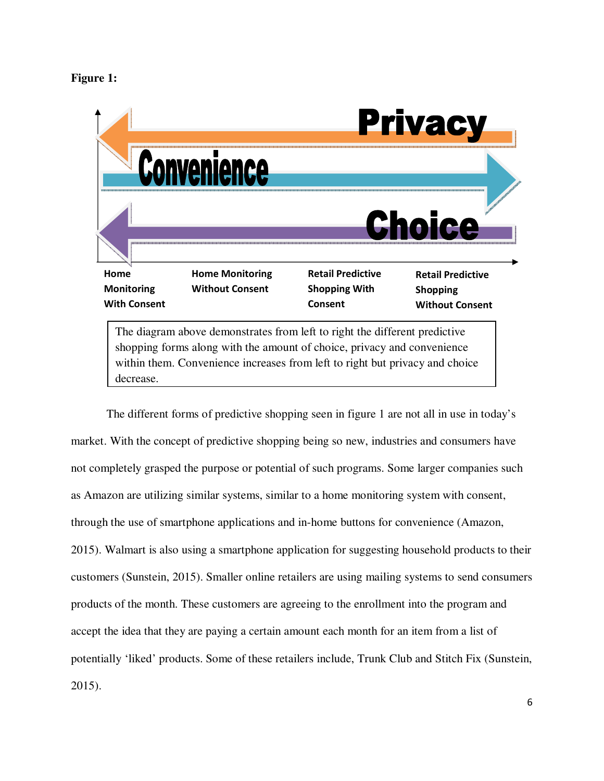#### **Figure 1:**

decrease.



The different forms of predictive shopping seen in figure 1 are not all in use in today's market. With the concept of predictive shopping being so new, industries and consumers have not completely grasped the purpose or potential of such programs. Some larger companies such as Amazon are utilizing similar systems, similar to a home monitoring system with consent, through the use of smartphone applications and in-home buttons for convenience (Amazon, 2015). Walmart is also using a smartphone application for suggesting household products to their customers (Sunstein, 2015). Smaller online retailers are using mailing systems to send consumers products of the month. These customers are agreeing to the enrollment into the program and accept the idea that they are paying a certain amount each month for an item from a list of potentially 'liked' products. Some of these retailers include, Trunk Club and Stitch Fix (Sunstein, 2015).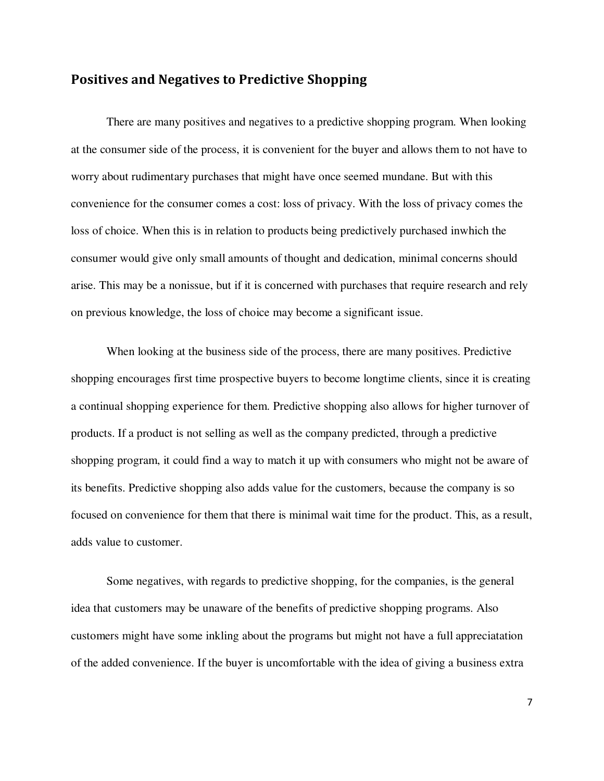#### **Positives and Negatives to Predictive Shopping**

There are many positives and negatives to a predictive shopping program. When looking at the consumer side of the process, it is convenient for the buyer and allows them to not have to worry about rudimentary purchases that might have once seemed mundane. But with this convenience for the consumer comes a cost: loss of privacy. With the loss of privacy comes the loss of choice. When this is in relation to products being predictively purchased inwhich the consumer would give only small amounts of thought and dedication, minimal concerns should arise. This may be a nonissue, but if it is concerned with purchases that require research and rely on previous knowledge, the loss of choice may become a significant issue.

When looking at the business side of the process, there are many positives. Predictive shopping encourages first time prospective buyers to become longtime clients, since it is creating a continual shopping experience for them. Predictive shopping also allows for higher turnover of products. If a product is not selling as well as the company predicted, through a predictive shopping program, it could find a way to match it up with consumers who might not be aware of its benefits. Predictive shopping also adds value for the customers, because the company is so focused on convenience for them that there is minimal wait time for the product. This, as a result, adds value to customer.

Some negatives, with regards to predictive shopping, for the companies, is the general idea that customers may be unaware of the benefits of predictive shopping programs. Also customers might have some inkling about the programs but might not have a full appreciatation of the added convenience. If the buyer is uncomfortable with the idea of giving a business extra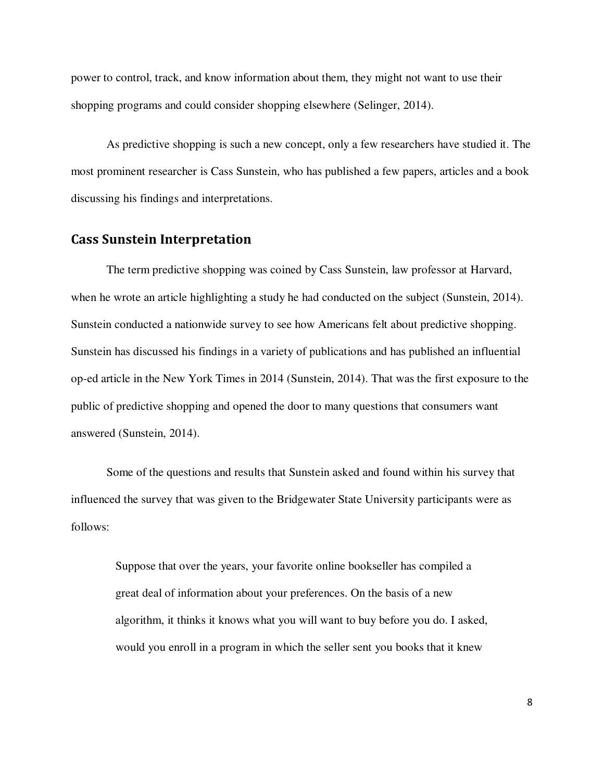power to control, track, and know information about them, they might not want to use their shopping programs and could consider shopping elsewhere (Selinger, 2014).

As predictive shopping is such a new concept, only a few researchers have studied it. The most prominent researcher is Cass Sunstein, who has published a few papers, articles and a book discussing his findings and interpretations.

#### **Cass Sunstein Interpretation**

The term predictive shopping was coined by Cass Sunstein, law professor at Harvard, when he wrote an article highlighting a study he had conducted on the subject (Sunstein, 2014). Sunstein conducted a nationwide survey to see how Americans felt about predictive shopping. Sunstein has discussed his findings in a variety of publications and has published an influential op-ed article in the New York Times in 2014 (Sunstein, 2014). That was the first exposure to the public of predictive shopping and opened the door to many questions that consumers want answered (Sunstein, 2014).

Some of the questions and results that Sunstein asked and found within his survey that influenced the survey that was given to the Bridgewater State University participants were as follows:

Suppose that over the years, your favorite online bookseller has compiled a great deal of information about your preferences. On the basis of a new algorithm, it thinks it knows what you will want to buy before you do. I asked, would you enroll in a program in which the seller sent you books that it knew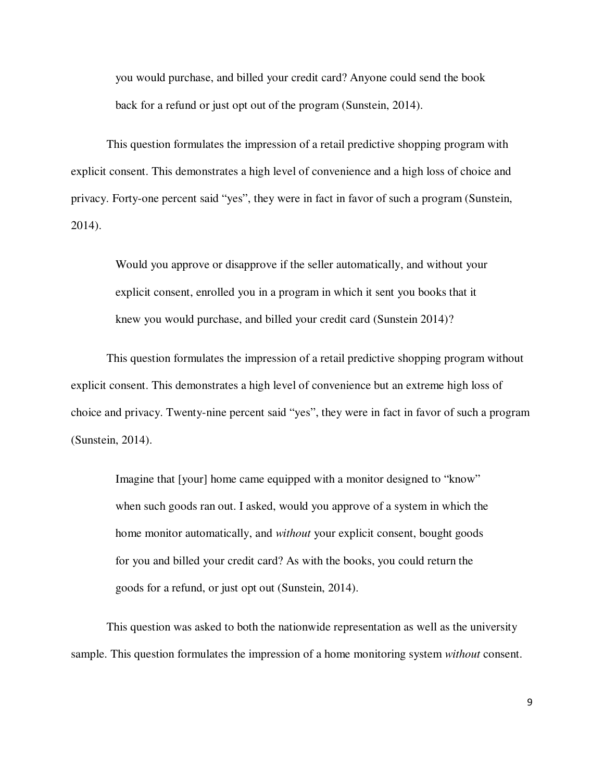you would purchase, and billed your credit card? Anyone could send the book back for a refund or just opt out of the program (Sunstein, 2014).

This question formulates the impression of a retail predictive shopping program with explicit consent. This demonstrates a high level of convenience and a high loss of choice and privacy. Forty-one percent said "yes", they were in fact in favor of such a program (Sunstein, 2014).

Would you approve or disapprove if the seller automatically, and without your explicit consent, enrolled you in a program in which it sent you books that it knew you would purchase, and billed your credit card (Sunstein 2014)?

This question formulates the impression of a retail predictive shopping program without explicit consent. This demonstrates a high level of convenience but an extreme high loss of choice and privacy. Twenty-nine percent said "yes", they were in fact in favor of such a program (Sunstein, 2014).

Imagine that [your] home came equipped with a monitor designed to "know" when such goods ran out. I asked, would you approve of a system in which the home monitor automatically, and *without* your explicit consent, bought goods for you and billed your credit card? As with the books, you could return the goods for a refund, or just opt out (Sunstein, 2014).

This question was asked to both the nationwide representation as well as the university sample. This question formulates the impression of a home monitoring system *without* consent.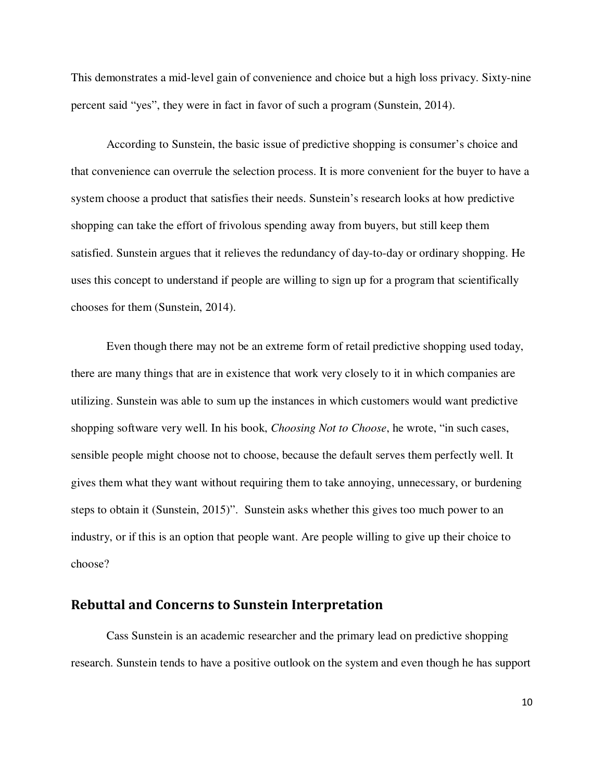This demonstrates a mid-level gain of convenience and choice but a high loss privacy. Sixty-nine percent said "yes", they were in fact in favor of such a program (Sunstein, 2014).

According to Sunstein, the basic issue of predictive shopping is consumer's choice and that convenience can overrule the selection process. It is more convenient for the buyer to have a system choose a product that satisfies their needs. Sunstein's research looks at how predictive shopping can take the effort of frivolous spending away from buyers, but still keep them satisfied. Sunstein argues that it relieves the redundancy of day-to-day or ordinary shopping. He uses this concept to understand if people are willing to sign up for a program that scientifically chooses for them (Sunstein, 2014).

Even though there may not be an extreme form of retail predictive shopping used today, there are many things that are in existence that work very closely to it in which companies are utilizing. Sunstein was able to sum up the instances in which customers would want predictive shopping software very well. In his book, *Choosing Not to Choose*, he wrote, "in such cases, sensible people might choose not to choose, because the default serves them perfectly well. It gives them what they want without requiring them to take annoying, unnecessary, or burdening steps to obtain it (Sunstein, 2015)". Sunstein asks whether this gives too much power to an industry, or if this is an option that people want. Are people willing to give up their choice to choose?

#### **Rebuttal and Concerns to Sunstein Interpretation**

Cass Sunstein is an academic researcher and the primary lead on predictive shopping research. Sunstein tends to have a positive outlook on the system and even though he has support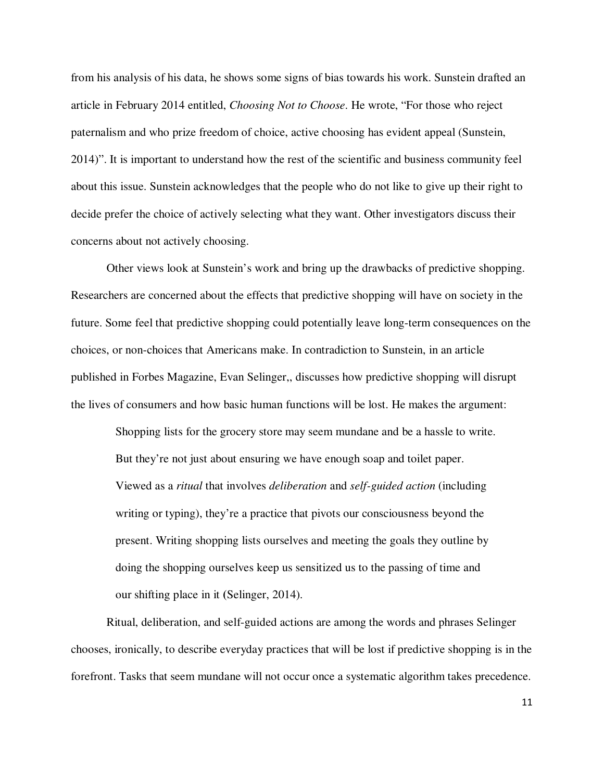from his analysis of his data, he shows some signs of bias towards his work. Sunstein drafted an article in February 2014 entitled, *Choosing Not to Choose*. He wrote, "For those who reject paternalism and who prize freedom of choice, active choosing has evident appeal (Sunstein, 2014)". It is important to understand how the rest of the scientific and business community feel about this issue. Sunstein acknowledges that the people who do not like to give up their right to decide prefer the choice of actively selecting what they want. Other investigators discuss their concerns about not actively choosing.

Other views look at Sunstein's work and bring up the drawbacks of predictive shopping. Researchers are concerned about the effects that predictive shopping will have on society in the future. Some feel that predictive shopping could potentially leave long-term consequences on the choices, or non-choices that Americans make. In contradiction to Sunstein, in an article published in Forbes Magazine, Evan Selinger,, discusses how predictive shopping will disrupt the lives of consumers and how basic human functions will be lost. He makes the argument:

Shopping lists for the grocery store may seem mundane and be a hassle to write. But they're not just about ensuring we have enough soap and toilet paper. Viewed as a *ritual* that involves *deliberation* and *self-guided action* (including writing or typing), they're a practice that pivots our consciousness beyond the present. Writing shopping lists ourselves and meeting the goals they outline by doing the shopping ourselves keep us sensitized us to the passing of time and our shifting place in it **(**Selinger, 2014).

Ritual, deliberation, and self-guided actions are among the words and phrases Selinger chooses, ironically, to describe everyday practices that will be lost if predictive shopping is in the forefront. Tasks that seem mundane will not occur once a systematic algorithm takes precedence.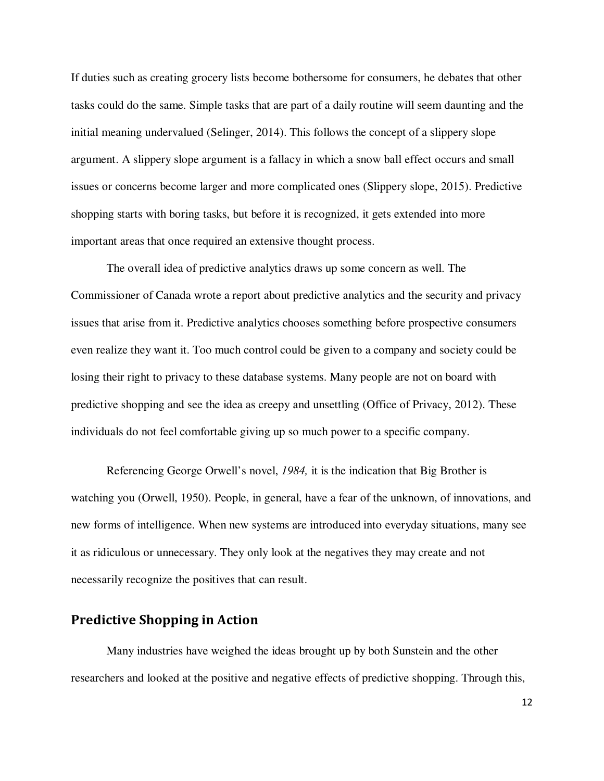If duties such as creating grocery lists become bothersome for consumers, he debates that other tasks could do the same. Simple tasks that are part of a daily routine will seem daunting and the initial meaning undervalued (Selinger, 2014). This follows the concept of a slippery slope argument. A slippery slope argument is a fallacy in which a snow ball effect occurs and small issues or concerns become larger and more complicated ones (Slippery slope, 2015). Predictive shopping starts with boring tasks, but before it is recognized, it gets extended into more important areas that once required an extensive thought process.

The overall idea of predictive analytics draws up some concern as well. The Commissioner of Canada wrote a report about predictive analytics and the security and privacy issues that arise from it. Predictive analytics chooses something before prospective consumers even realize they want it. Too much control could be given to a company and society could be losing their right to privacy to these database systems. Many people are not on board with predictive shopping and see the idea as creepy and unsettling (Office of Privacy, 2012). These individuals do not feel comfortable giving up so much power to a specific company.

Referencing George Orwell's novel, *1984,* it is the indication that Big Brother is watching you (Orwell, 1950). People, in general, have a fear of the unknown, of innovations, and new forms of intelligence. When new systems are introduced into everyday situations, many see it as ridiculous or unnecessary. They only look at the negatives they may create and not necessarily recognize the positives that can result.

#### **Predictive Shopping in Action**

Many industries have weighed the ideas brought up by both Sunstein and the other researchers and looked at the positive and negative effects of predictive shopping. Through this,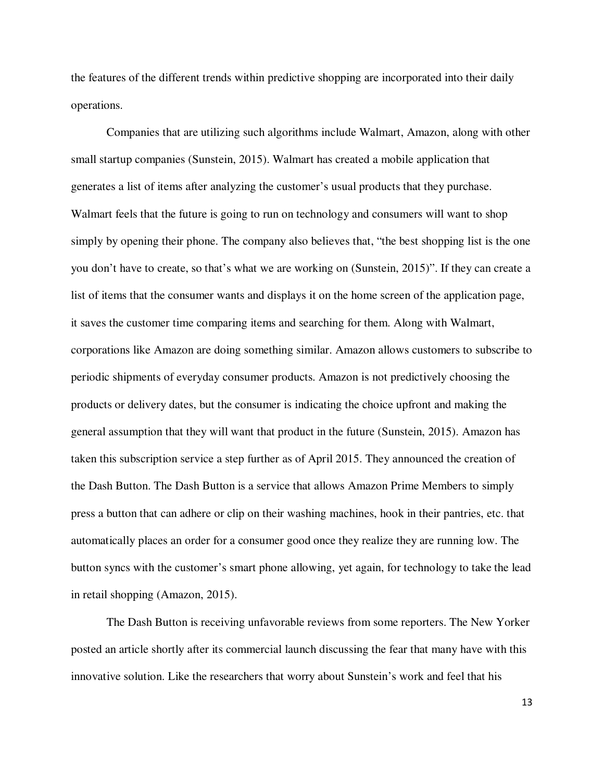the features of the different trends within predictive shopping are incorporated into their daily operations.

Companies that are utilizing such algorithms include Walmart, Amazon, along with other small startup companies (Sunstein, 2015). Walmart has created a mobile application that generates a list of items after analyzing the customer's usual products that they purchase. Walmart feels that the future is going to run on technology and consumers will want to shop simply by opening their phone. The company also believes that, "the best shopping list is the one you don't have to create, so that's what we are working on (Sunstein, 2015)". If they can create a list of items that the consumer wants and displays it on the home screen of the application page, it saves the customer time comparing items and searching for them. Along with Walmart, corporations like Amazon are doing something similar. Amazon allows customers to subscribe to periodic shipments of everyday consumer products. Amazon is not predictively choosing the products or delivery dates, but the consumer is indicating the choice upfront and making the general assumption that they will want that product in the future (Sunstein, 2015). Amazon has taken this subscription service a step further as of April 2015. They announced the creation of the Dash Button. The Dash Button is a service that allows Amazon Prime Members to simply press a button that can adhere or clip on their washing machines, hook in their pantries, etc. that automatically places an order for a consumer good once they realize they are running low. The button syncs with the customer's smart phone allowing, yet again, for technology to take the lead in retail shopping (Amazon, 2015).

The Dash Button is receiving unfavorable reviews from some reporters. The New Yorker posted an article shortly after its commercial launch discussing the fear that many have with this innovative solution. Like the researchers that worry about Sunstein's work and feel that his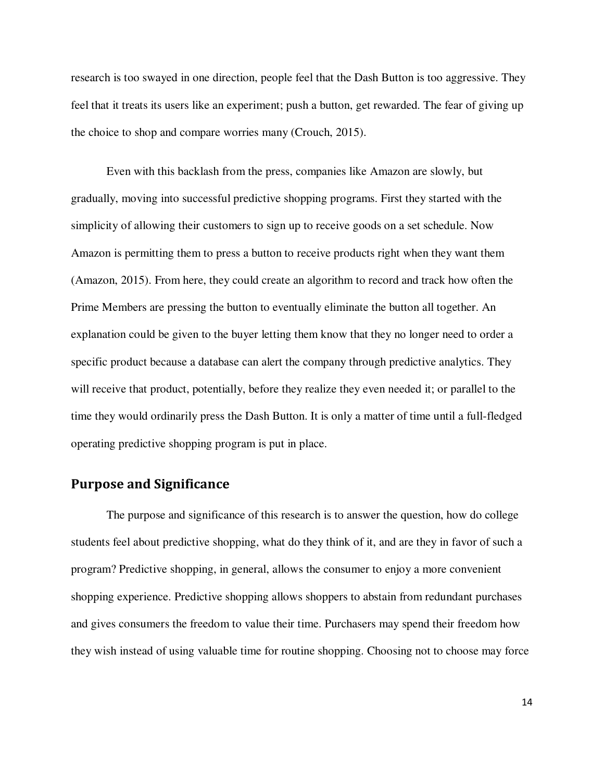research is too swayed in one direction, people feel that the Dash Button is too aggressive. They feel that it treats its users like an experiment; push a button, get rewarded. The fear of giving up the choice to shop and compare worries many (Crouch, 2015).

Even with this backlash from the press, companies like Amazon are slowly, but gradually, moving into successful predictive shopping programs. First they started with the simplicity of allowing their customers to sign up to receive goods on a set schedule. Now Amazon is permitting them to press a button to receive products right when they want them (Amazon, 2015). From here, they could create an algorithm to record and track how often the Prime Members are pressing the button to eventually eliminate the button all together. An explanation could be given to the buyer letting them know that they no longer need to order a specific product because a database can alert the company through predictive analytics. They will receive that product, potentially, before they realize they even needed it; or parallel to the time they would ordinarily press the Dash Button. It is only a matter of time until a full-fledged operating predictive shopping program is put in place.

#### **Purpose and Significance**

 The purpose and significance of this research is to answer the question, how do college students feel about predictive shopping, what do they think of it, and are they in favor of such a program? Predictive shopping, in general, allows the consumer to enjoy a more convenient shopping experience. Predictive shopping allows shoppers to abstain from redundant purchases and gives consumers the freedom to value their time. Purchasers may spend their freedom how they wish instead of using valuable time for routine shopping. Choosing not to choose may force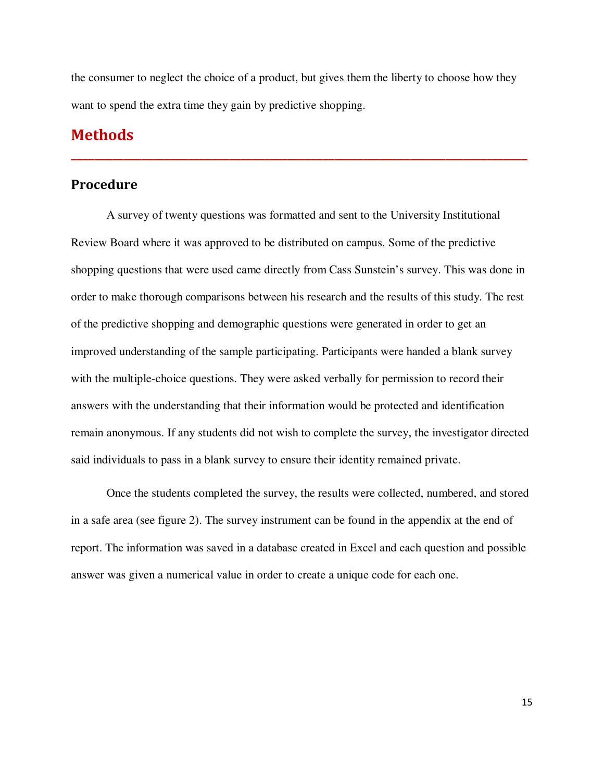the consumer to neglect the choice of a product, but gives them the liberty to choose how they want to spend the extra time they gain by predictive shopping.

**\_\_\_\_\_\_\_\_\_\_\_\_\_\_\_\_\_\_\_\_\_\_\_\_\_\_\_\_\_\_\_\_\_\_\_\_\_\_\_\_\_\_\_\_\_\_\_\_\_\_\_\_\_\_\_\_\_\_\_\_\_\_\_\_\_\_\_\_\_\_\_\_\_\_\_\_\_\_**

#### **Methods**

#### **Procedure**

 A survey of twenty questions was formatted and sent to the University Institutional Review Board where it was approved to be distributed on campus. Some of the predictive shopping questions that were used came directly from Cass Sunstein's survey. This was done in order to make thorough comparisons between his research and the results of this study. The rest of the predictive shopping and demographic questions were generated in order to get an improved understanding of the sample participating. Participants were handed a blank survey with the multiple-choice questions. They were asked verbally for permission to record their answers with the understanding that their information would be protected and identification remain anonymous. If any students did not wish to complete the survey, the investigator directed said individuals to pass in a blank survey to ensure their identity remained private.

 Once the students completed the survey, the results were collected, numbered, and stored in a safe area (see figure 2). The survey instrument can be found in the appendix at the end of report. The information was saved in a database created in Excel and each question and possible answer was given a numerical value in order to create a unique code for each one.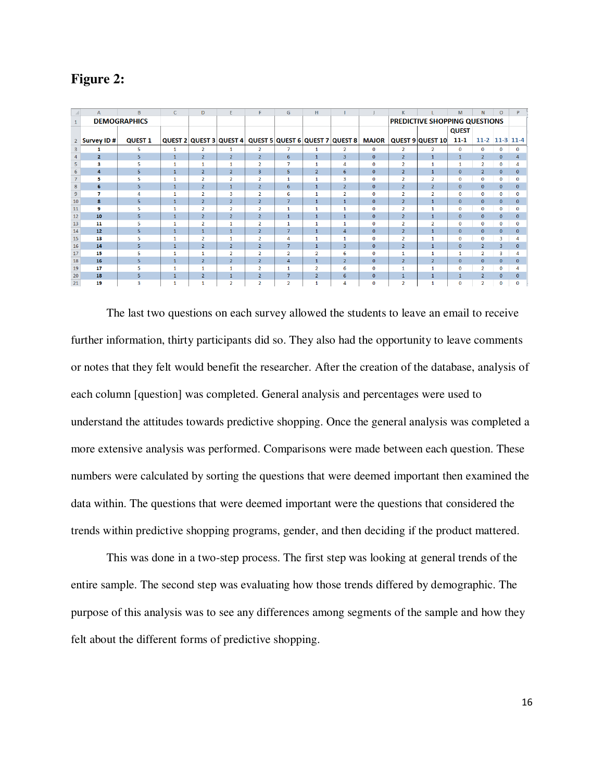| Figure |  |
|--------|--|
|--------|--|

|    | A            | B                   | $\mathsf{C}$ | D              | E.                      | F              | G              | H              |                                 |              | K.                                   |                  | M            | N              | $\circ$        | P            |
|----|--------------|---------------------|--------------|----------------|-------------------------|----------------|----------------|----------------|---------------------------------|--------------|--------------------------------------|------------------|--------------|----------------|----------------|--------------|
|    |              | <b>DEMOGRAPHICS</b> |              |                |                         |                |                |                |                                 |              | <b>PREDICTIVE SHOPPING QUESTIONS</b> |                  |              |                |                |              |
|    |              |                     |              |                |                         |                |                |                |                                 |              |                                      |                  | <b>QUEST</b> |                |                |              |
|    | Survey ID #  | <b>QUEST 1</b>      |              |                | QUEST 2 QUEST 3 QUEST 4 |                |                |                | QUEST 5 QUEST 6 QUEST 7 QUEST 8 | <b>MAJOR</b> |                                      | QUEST 9 QUEST 10 | $11 - 1$     |                | 11-2 11-3 11-4 |              |
|    |              | 5                   |              |                |                         | $\overline{2}$ |                | 1              | $\overline{2}$                  | $\Omega$     | $\overline{2}$                       | $\mathfrak{p}$   | $\Omega$     | $\Omega$       | $\Omega$       | 0            |
|    | $\mathbf{2}$ | 5                   | $\mathbf{1}$ | $\overline{2}$ | $\overline{2}$          | $\overline{2}$ | 6              | $\mathbf{1}$   | $\overline{3}$                  | $\mathbf{0}$ | $\overline{2}$                       | $\mathbf{1}$     | $\mathbf{1}$ | 2              | $\mathbf{0}$   |              |
|    | з            | ς                   | 1.           | $\mathbf{1}$   | 1                       | $\overline{2}$ | $\overline{7}$ | $\mathbf{1}$   |                                 | $\mathbf{0}$ | $\overline{2}$                       | 1                | 1            | $\overline{2}$ | $\mathbf{0}$   |              |
|    | 4            | 5                   | $\mathbf{1}$ | $\overline{2}$ | $\overline{2}$          | 3              | 5              | $\overline{2}$ | 6                               | $\mathbf{0}$ | $\overline{2}$                       | $\mathbf{1}$     | $\mathbf{0}$ |                | $\Omega$       | $\Omega$     |
|    | 5            |                     | 1.           | $\overline{2}$ | $\overline{2}$          | $\overline{2}$ | 1              | 1              | 3                               | $\Omega$     | $\overline{2}$                       | $\overline{2}$   | $\mathbf 0$  | $\mathbf{0}$   | $\Omega$       |              |
| 8  | 6            | 5                   | $\mathbf{1}$ | $\overline{2}$ | $\mathbf{1}$            | $\overline{2}$ | 6              | $\mathbf{1}$   | $\overline{2}$                  | $\mathbf{0}$ | $\overline{2}$                       | $\overline{2}$   | $\mathbf{0}$ | $\Omega$       | $\Omega$       | <sup>n</sup> |
|    | 7            |                     | 1            | $\overline{2}$ | 3                       | $\overline{2}$ | 6              | $\mathbf{1}$   | $\overline{2}$                  | $\Omega$     | $\overline{2}$                       | $\overline{2}$   | $\mathbf 0$  | $\Omega$       | $\mathbf 0$    |              |
| 10 | 8            | 5                   | $\mathbf{1}$ | $\overline{2}$ | $\overline{2}$          | $\overline{2}$ | $\overline{7}$ | $\mathbf{1}$   | $\mathbf{1}$                    | $\mathbf{0}$ | $\overline{2}$                       | $\mathbf{1}$     | $\mathbf{0}$ | $\mathbf{0}$   | $\mathbf{0}$   | $\Omega$     |
| 11 | 9            |                     | 1.           | $\overline{2}$ | $\overline{2}$          | $\overline{2}$ | $\mathbf{1}$   | 1              |                                 | $\Omega$     | $\overline{2}$                       | 1                | $\mathbf 0$  | $\Omega$       | $\mathbf{0}$   |              |
| 12 | 10           | 5                   | $\mathbf{1}$ | $\overline{2}$ | $\overline{2}$          | $\overline{2}$ | $\mathbf{1}$   | $\mathbf{1}$   | $\mathbf{1}$                    | $\mathbf{0}$ | $\overline{2}$                       | $\overline{1}$   | $\mathbf{0}$ | $\mathbf{0}$   | $\mathbf{0}$   | 0            |
| 13 | 11           |                     |              | $\mathcal{P}$  | 1                       |                | 1              | $\mathbf{1}$   |                                 | $\Omega$     | $\overline{2}$                       | $\overline{2}$   | $\mathbf{O}$ | $\Omega$       | $\Omega$       |              |
| 14 | 12           | 5.                  | $\mathbf{1}$ | $\mathbf{1}$   | $\mathbf{1}$            | $\overline{2}$ | $\overline{7}$ | $\mathbf{1}$   | $\overline{a}$                  | $\Omega$     | $\overline{2}$                       | $\mathbf{1}$     | $\Omega$     | $\mathbf{0}$   | $\Omega$       | $\mathbf{0}$ |
| 15 | 13           |                     |              | $\overline{2}$ | 1                       | $\overline{a}$ | Δ              | 1              |                                 | $\Omega$     | $\overline{2}$                       | 1                | $\Omega$     | $\Omega$       | 3              |              |
| 16 | 14           | 5.                  | $\mathbf{1}$ | $\overline{2}$ | $\overline{2}$          | $\overline{2}$ | 7              | $\mathbf{1}$   | $\overline{3}$                  | $\Omega$     | $\overline{2}$                       | $\mathbf{1}$     | $\Omega$     | $\overline{2}$ | 3              | <sup>n</sup> |
| 17 | 15           |                     |              | 1              | $\overline{2}$          | $\overline{2}$ | $\overline{2}$ | $\overline{2}$ | 6                               | $\Omega$     | 1                                    | 1                | 1            | $\overline{2}$ | 3              | 4            |
| 18 | 16           | 5.                  | $\mathbf{1}$ | $\overline{2}$ | $\overline{2}$          | $\overline{2}$ | $\overline{a}$ | $\mathbf{1}$   | $\overline{2}$                  | $\mathbf{0}$ | $\overline{2}$                       | $\overline{2}$   | $\mathbf{0}$ | $\Omega$       | $\Omega$       | $\Omega$     |
| 19 | 17           | к                   | 1.           | $\mathbf{1}$   | $\mathbf{1}$            | $\overline{2}$ | $\mathbf{1}$   | $\overline{2}$ | 6                               | $\mathbf 0$  | $\mathbf{1}$                         | 1                | $\mathbf 0$  | $\overline{2}$ | $\mathbf 0$    | 4            |
| 20 | 18           | 5                   | 1            | $\overline{2}$ | $\mathbf{1}$            | $\overline{2}$ | $\overline{7}$ | $\overline{2}$ | 6                               | $\mathbf{0}$ | $\mathbf{1}$                         |                  | $\mathbf{1}$ |                | $\mathbf{0}$   | $\Omega$     |
| 21 | 19           | R                   |              |                | $\mathcal{P}$           | $\mathcal{P}$  | $\overline{2}$ | 1              |                                 | $\Omega$     | $\overline{2}$                       | 4                | $\Omega$     | $\mathfrak{p}$ |                |              |

The last two questions on each survey allowed the students to leave an email to receive further information, thirty participants did so. They also had the opportunity to leave comments or notes that they felt would benefit the researcher. After the creation of the database, analysis of each column [question] was completed. General analysis and percentages were used to understand the attitudes towards predictive shopping. Once the general analysis was completed a more extensive analysis was performed. Comparisons were made between each question. These numbers were calculated by sorting the questions that were deemed important then examined the data within. The questions that were deemed important were the questions that considered the trends within predictive shopping programs, gender, and then deciding if the product mattered.

This was done in a two-step process. The first step was looking at general trends of the entire sample. The second step was evaluating how those trends differed by demographic. The purpose of this analysis was to see any differences among segments of the sample and how they felt about the different forms of predictive shopping.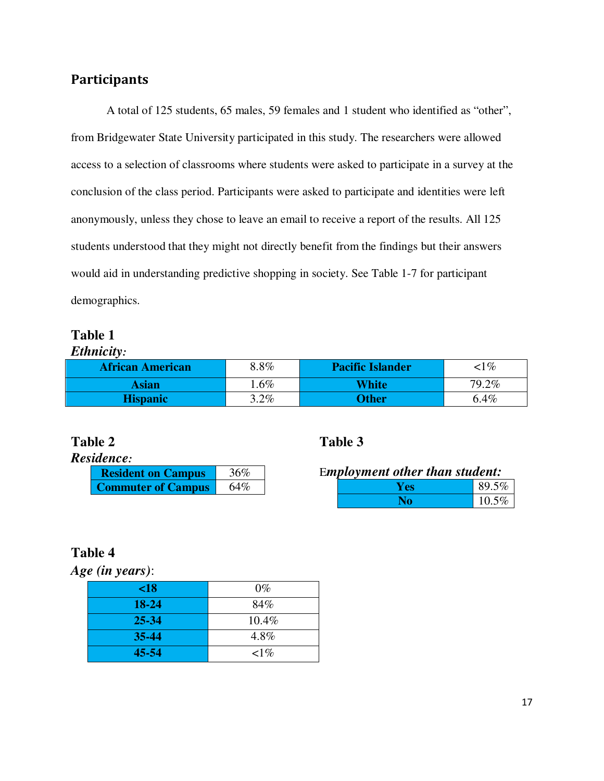#### **Participants**

A total of 125 students, 65 males, 59 females and 1 student who identified as "other", from Bridgewater State University participated in this study. The researchers were allowed access to a selection of classrooms where students were asked to participate in a survey at the conclusion of the class period. Participants were asked to participate and identities were left anonymously, unless they chose to leave an email to receive a report of the results. All 125 students understood that they might not directly benefit from the findings but their answers would aid in understanding predictive shopping in society. See Table 1-7 for participant demographics.

#### **Table 1**

*Ethnicity:* 

| <b>African American</b> | $8.8\%$ | <b>Pacific Islander</b> | $<$ 1 $\%$ |
|-------------------------|---------|-------------------------|------------|
| Asian                   | $.6\%$  | <b>White</b>            | 79.2%      |
| <b>Hispanic</b>         | $3.2\%$ | <b>Other</b>            | 6.4%       |

| Residence: |
|------------|
|------------|

| <b>Resident on Campus</b> | 36% |
|---------------------------|-----|
| <b>Commuter of Campus</b> | 64% |

#### **Table 2 Table 3**

E*mployment other than student:* 

| Y es | 89.5% |
|------|-------|
|      | 10.5% |

#### **Table 4**

*Age (in years)*:

| $\leq 18$ | $0\%$     |
|-----------|-----------|
| 18-24     | 84%       |
| $25 - 34$ | 10.4%     |
| $35 - 44$ | 4.8%      |
| 45-54     | $\leq$ 1% |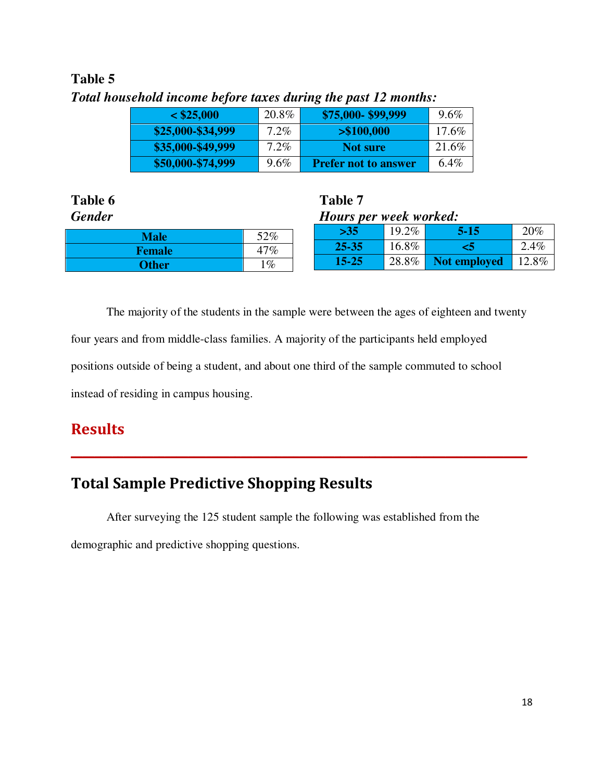#### **Table 5**

| $<$ \$25,000      | 20.8%   | \$75,000-\$99,999           | $9.6\%$ |  |  |  |  |
|-------------------|---------|-----------------------------|---------|--|--|--|--|
| \$25,000-\$34,999 | $7.2\%$ | > \$100,000                 | 17.6%   |  |  |  |  |
| \$35,000-\$49,999 | 7.2%    | <b>Not sure</b>             | 21.6%   |  |  |  |  |
| \$50,000-\$74,999 | $9.6\%$ | <b>Prefer not to answer</b> | $6.4\%$ |  |  |  |  |

*Total household income before taxes during the past 12 months:* 

| Table 6       |       |  | Table 7                |          |              |       |  |  |
|---------------|-------|--|------------------------|----------|--------------|-------|--|--|
| <b>Gender</b> |       |  | Hours per week worked: |          |              |       |  |  |
| <b>Male</b>   | 52%   |  | $>35$                  | $19.2\%$ | $5 - 15$     | 20%   |  |  |
| <b>Female</b> | 47%   |  | 25-35                  | 16.8%    |              | 2.4%  |  |  |
| Other/        | $1\%$ |  | $15 - 25$              | 28.8%    | Not employed | 12.8% |  |  |

The majority of the students in the sample were between the ages of eighteen and twenty four years and from middle-class families. A majority of the participants held employed positions outside of being a student, and about one third of the sample commuted to school instead of residing in campus housing.

**\_\_\_\_\_\_\_\_\_\_\_\_\_\_\_\_\_\_\_\_\_\_\_\_\_\_\_\_\_\_\_\_\_\_\_\_\_\_\_\_\_\_\_\_\_\_\_\_\_\_\_\_\_\_\_\_\_\_\_\_\_\_\_\_\_\_\_\_\_\_\_\_\_\_\_\_\_\_**

#### **Results**

#### **Total Sample Predictive Shopping Results**

After surveying the 125 student sample the following was established from the demographic and predictive shopping questions.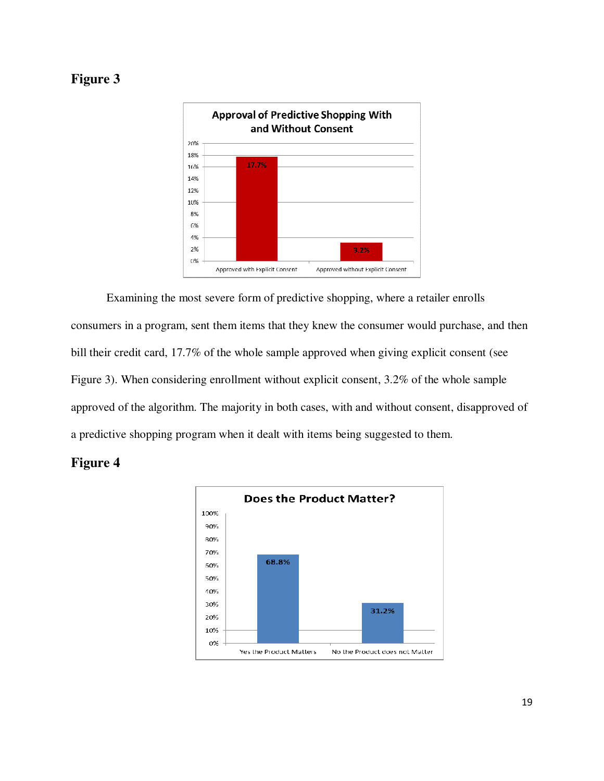#### **Figure 3**



Examining the most severe form of predictive shopping, where a retailer enrolls consumers in a program, sent them items that they knew the consumer would purchase, and then bill their credit card, 17.7% of the whole sample approved when giving explicit consent (see Figure 3). When considering enrollment without explicit consent, 3.2% of the whole sample approved of the algorithm. The majority in both cases, with and without consent, disapproved of a predictive shopping program when it dealt with items being suggested to them.

#### **Figure 4**

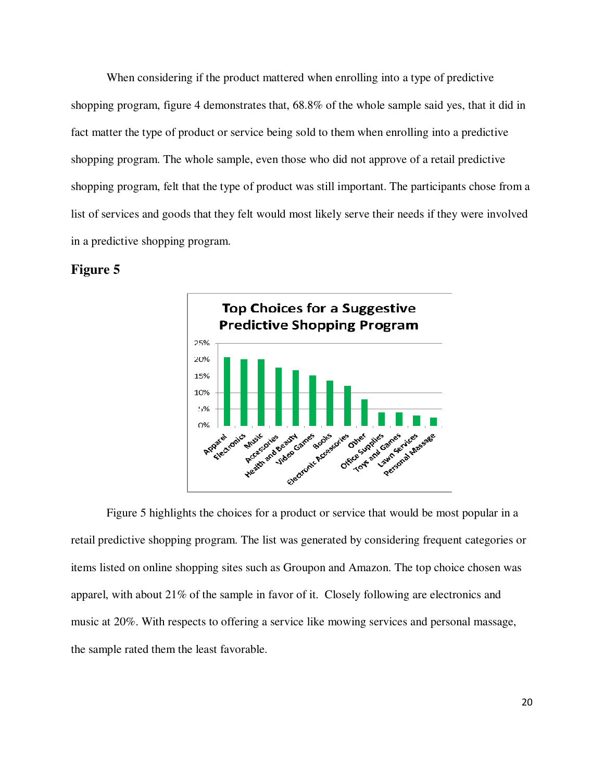When considering if the product mattered when enrolling into a type of predictive shopping program, figure 4 demonstrates that, 68.8% of the whole sample said yes, that it did in fact matter the type of product or service being sold to them when enrolling into a predictive shopping program. The whole sample, even those who did not approve of a retail predictive shopping program, felt that the type of product was still important. The participants chose from a list of services and goods that they felt would most likely serve their needs if they were involved in a predictive shopping program.

#### **Figure 5**



Figure 5 highlights the choices for a product or service that would be most popular in a retail predictive shopping program. The list was generated by considering frequent categories or items listed on online shopping sites such as Groupon and Amazon. The top choice chosen was apparel, with about 21% of the sample in favor of it. Closely following are electronics and music at 20%. With respects to offering a service like mowing services and personal massage, the sample rated them the least favorable.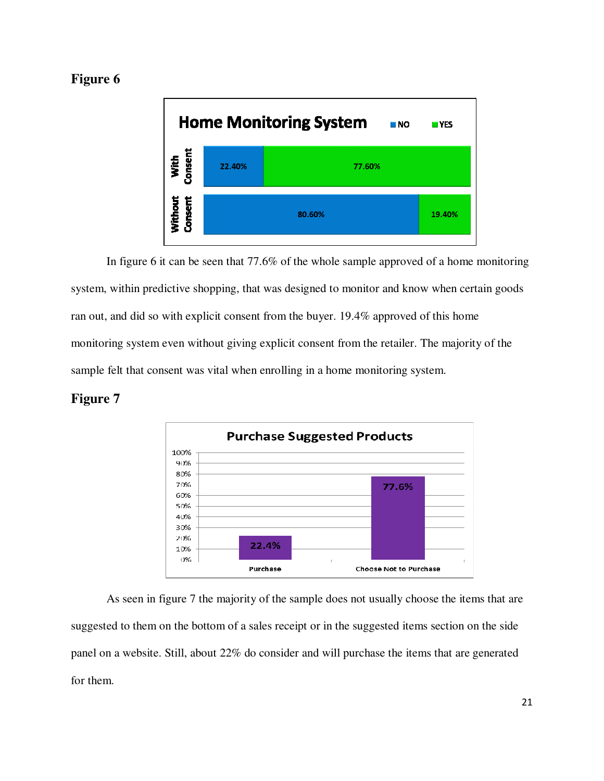#### **Figure 6**



In figure 6 it can be seen that 77.6% of the whole sample approved of a home monitoring system, within predictive shopping, that was designed to monitor and know when certain goods ran out, and did so with explicit consent from the buyer. 19.4% approved of this home monitoring system even without giving explicit consent from the retailer. The majority of the sample felt that consent was vital when enrolling in a home monitoring system.

#### **Figure 7**



As seen in figure 7 the majority of the sample does not usually choose the items that are suggested to them on the bottom of a sales receipt or in the suggested items section on the side panel on a website. Still, about 22% do consider and will purchase the items that are generated for them.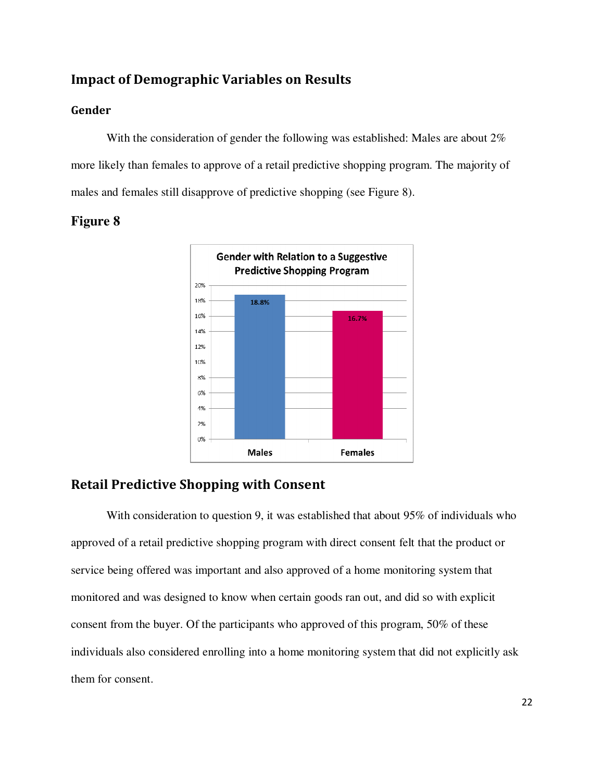#### **Impact of Demographic Variables on Results**

#### **Gender**

With the consideration of gender the following was established: Males are about 2% more likely than females to approve of a retail predictive shopping program. The majority of males and females still disapprove of predictive shopping (see Figure 8).





#### **Retail Predictive Shopping with Consent**

With consideration to question 9, it was established that about 95% of individuals who approved of a retail predictive shopping program with direct consent felt that the product or service being offered was important and also approved of a home monitoring system that monitored and was designed to know when certain goods ran out, and did so with explicit consent from the buyer. Of the participants who approved of this program, 50% of these individuals also considered enrolling into a home monitoring system that did not explicitly ask them for consent.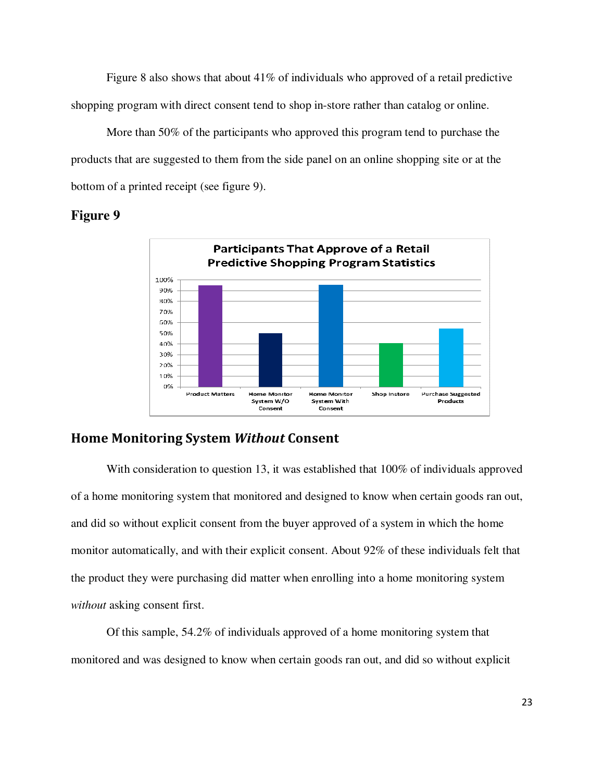Figure 8 also shows that about  $41\%$  of individuals who approved of a retail predictive shopping program with direct consent tend to shop in-store rather than catalog or online.

More than 50% of the participants who approved this program tend to purchase the products that are suggested to them from the side panel on an online shopping site or at the bottom of a printed receipt (see figure 9).

#### **Figure 9**



#### **Home Monitoring System** *Without* **Consent**

With consideration to question 13, it was established that 100% of individuals approved of a home monitoring system that monitored and designed to know when certain goods ran out, and did so without explicit consent from the buyer approved of a system in which the home monitor automatically, and with their explicit consent. About 92% of these individuals felt that the product they were purchasing did matter when enrolling into a home monitoring system *without* asking consent first.

Of this sample, 54.2% of individuals approved of a home monitoring system that monitored and was designed to know when certain goods ran out, and did so without explicit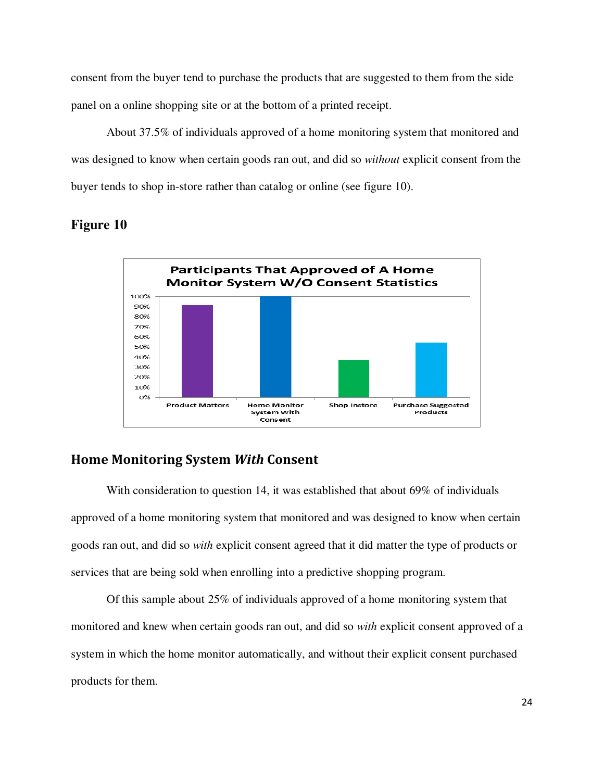consent from the buyer tend to purchase the products that are suggested to them from the side panel on a online shopping site or at the bottom of a printed receipt.

About 37.5% of individuals approved of a home monitoring system that monitored and was designed to know when certain goods ran out, and did so *without* explicit consent from the buyer tends to shop in-store rather than catalog or online (see figure 10).



#### **Figure 10**

#### **Home Monitoring System** *With* **Consent**

With consideration to question 14, it was established that about 69% of individuals approved of a home monitoring system that monitored and was designed to know when certain goods ran out, and did so *with* explicit consent agreed that it did matter the type of products or services that are being sold when enrolling into a predictive shopping program.

Of this sample about 25% of individuals approved of a home monitoring system that monitored and knew when certain goods ran out, and did so *with* explicit consent approved of a system in which the home monitor automatically, and without their explicit consent purchased products for them.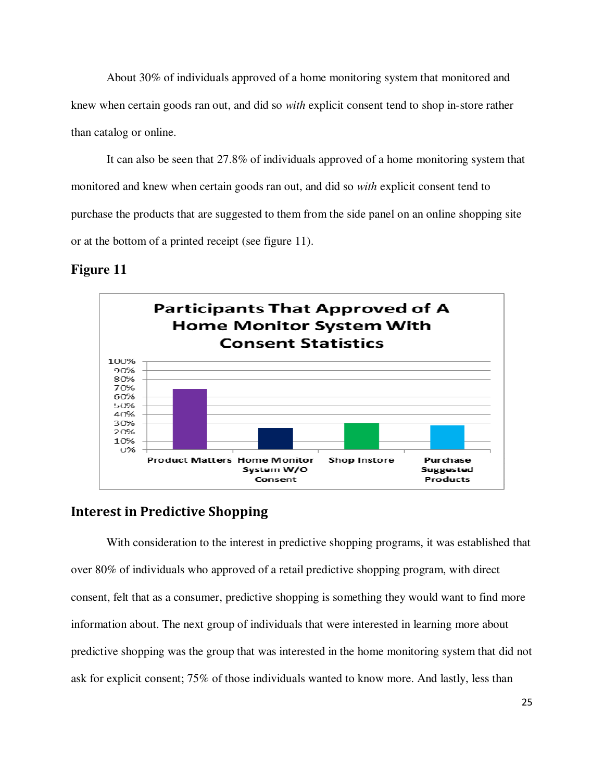About 30% of individuals approved of a home monitoring system that monitored and knew when certain goods ran out, and did so *with* explicit consent tend to shop in-store rather than catalog or online.

It can also be seen that 27.8% of individuals approved of a home monitoring system that monitored and knew when certain goods ran out, and did so *with* explicit consent tend to purchase the products that are suggested to them from the side panel on an online shopping site or at the bottom of a printed receipt (see figure 11).

#### **Figure 11**



#### **Interest in Predictive Shopping**

With consideration to the interest in predictive shopping programs, it was established that over 80% of individuals who approved of a retail predictive shopping program, with direct consent, felt that as a consumer, predictive shopping is something they would want to find more information about. The next group of individuals that were interested in learning more about predictive shopping was the group that was interested in the home monitoring system that did not ask for explicit consent; 75% of those individuals wanted to know more. And lastly, less than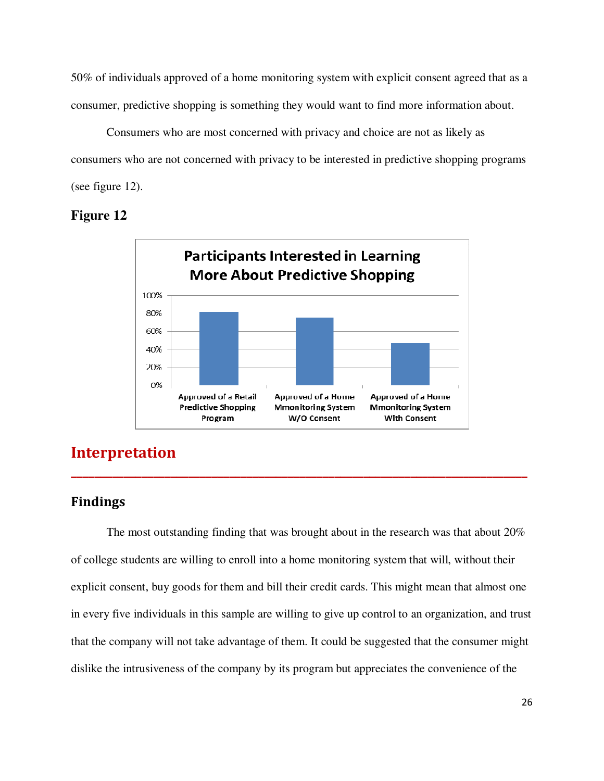50% of individuals approved of a home monitoring system with explicit consent agreed that as a consumer, predictive shopping is something they would want to find more information about.

Consumers who are most concerned with privacy and choice are not as likely as consumers who are not concerned with privacy to be interested in predictive shopping programs (see figure 12).

#### **Figure 12**



#### **Interpretation**

#### **Findings**

The most outstanding finding that was brought about in the research was that about 20% of college students are willing to enroll into a home monitoring system that will, without their explicit consent, buy goods for them and bill their credit cards. This might mean that almost one in every five individuals in this sample are willing to give up control to an organization, and trust that the company will not take advantage of them. It could be suggested that the consumer might dislike the intrusiveness of the company by its program but appreciates the convenience of the

**\_\_\_\_\_\_\_\_\_\_\_\_\_\_\_\_\_\_\_\_\_\_\_\_\_\_\_\_\_\_\_\_\_\_\_\_\_\_\_\_\_\_\_\_\_\_\_\_\_\_\_\_\_\_\_\_\_\_\_\_\_\_\_\_\_\_\_\_\_\_\_\_\_\_\_\_\_\_**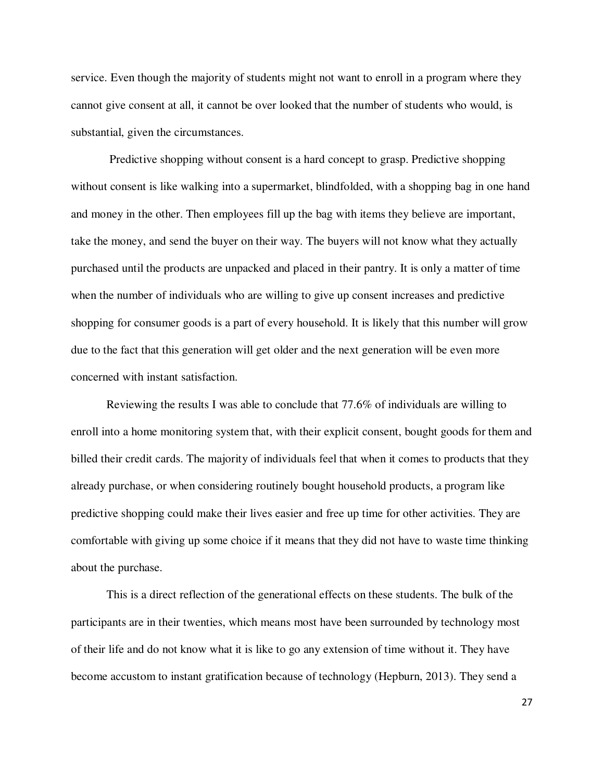service. Even though the majority of students might not want to enroll in a program where they cannot give consent at all, it cannot be over looked that the number of students who would, is substantial, given the circumstances.

 Predictive shopping without consent is a hard concept to grasp. Predictive shopping without consent is like walking into a supermarket, blindfolded, with a shopping bag in one hand and money in the other. Then employees fill up the bag with items they believe are important, take the money, and send the buyer on their way. The buyers will not know what they actually purchased until the products are unpacked and placed in their pantry. It is only a matter of time when the number of individuals who are willing to give up consent increases and predictive shopping for consumer goods is a part of every household. It is likely that this number will grow due to the fact that this generation will get older and the next generation will be even more concerned with instant satisfaction.

Reviewing the results I was able to conclude that 77.6% of individuals are willing to enroll into a home monitoring system that, with their explicit consent, bought goods for them and billed their credit cards. The majority of individuals feel that when it comes to products that they already purchase, or when considering routinely bought household products, a program like predictive shopping could make their lives easier and free up time for other activities. They are comfortable with giving up some choice if it means that they did not have to waste time thinking about the purchase.

This is a direct reflection of the generational effects on these students. The bulk of the participants are in their twenties, which means most have been surrounded by technology most of their life and do not know what it is like to go any extension of time without it. They have become accustom to instant gratification because of technology (Hepburn, 2013). They send a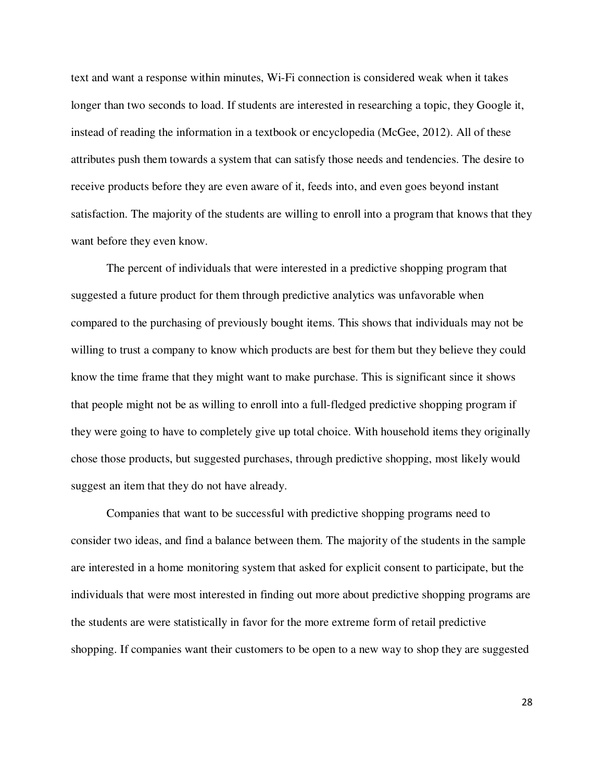text and want a response within minutes, Wi-Fi connection is considered weak when it takes longer than two seconds to load. If students are interested in researching a topic, they Google it, instead of reading the information in a textbook or encyclopedia (McGee, 2012). All of these attributes push them towards a system that can satisfy those needs and tendencies. The desire to receive products before they are even aware of it, feeds into, and even goes beyond instant satisfaction. The majority of the students are willing to enroll into a program that knows that they want before they even know.

The percent of individuals that were interested in a predictive shopping program that suggested a future product for them through predictive analytics was unfavorable when compared to the purchasing of previously bought items. This shows that individuals may not be willing to trust a company to know which products are best for them but they believe they could know the time frame that they might want to make purchase. This is significant since it shows that people might not be as willing to enroll into a full-fledged predictive shopping program if they were going to have to completely give up total choice. With household items they originally chose those products, but suggested purchases, through predictive shopping, most likely would suggest an item that they do not have already.

Companies that want to be successful with predictive shopping programs need to consider two ideas, and find a balance between them. The majority of the students in the sample are interested in a home monitoring system that asked for explicit consent to participate, but the individuals that were most interested in finding out more about predictive shopping programs are the students are were statistically in favor for the more extreme form of retail predictive shopping. If companies want their customers to be open to a new way to shop they are suggested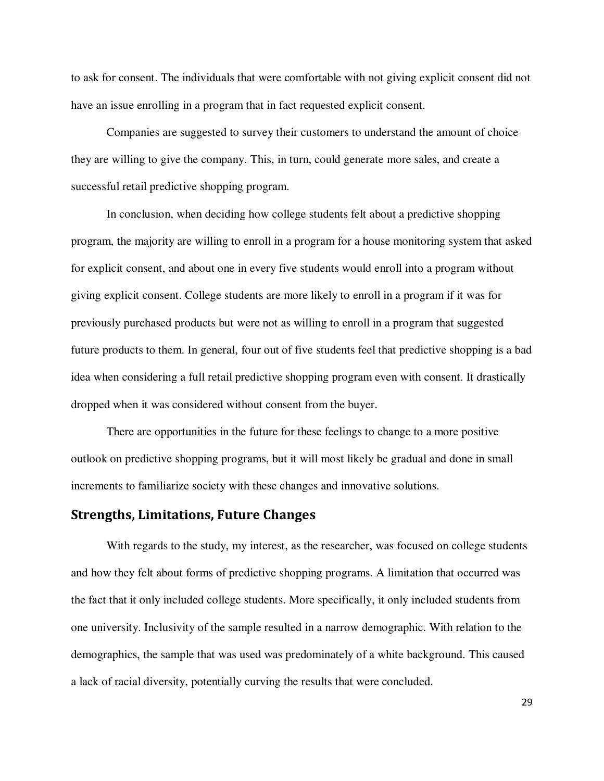to ask for consent. The individuals that were comfortable with not giving explicit consent did not have an issue enrolling in a program that in fact requested explicit consent.

Companies are suggested to survey their customers to understand the amount of choice they are willing to give the company. This, in turn, could generate more sales, and create a successful retail predictive shopping program.

In conclusion, when deciding how college students felt about a predictive shopping program, the majority are willing to enroll in a program for a house monitoring system that asked for explicit consent, and about one in every five students would enroll into a program without giving explicit consent. College students are more likely to enroll in a program if it was for previously purchased products but were not as willing to enroll in a program that suggested future products to them. In general, four out of five students feel that predictive shopping is a bad idea when considering a full retail predictive shopping program even with consent. It drastically dropped when it was considered without consent from the buyer.

There are opportunities in the future for these feelings to change to a more positive outlook on predictive shopping programs, but it will most likely be gradual and done in small increments to familiarize society with these changes and innovative solutions.

#### **Strengths, Limitations, Future Changes**

With regards to the study, my interest, as the researcher, was focused on college students and how they felt about forms of predictive shopping programs. A limitation that occurred was the fact that it only included college students. More specifically, it only included students from one university. Inclusivity of the sample resulted in a narrow demographic. With relation to the demographics, the sample that was used was predominately of a white background. This caused a lack of racial diversity, potentially curving the results that were concluded.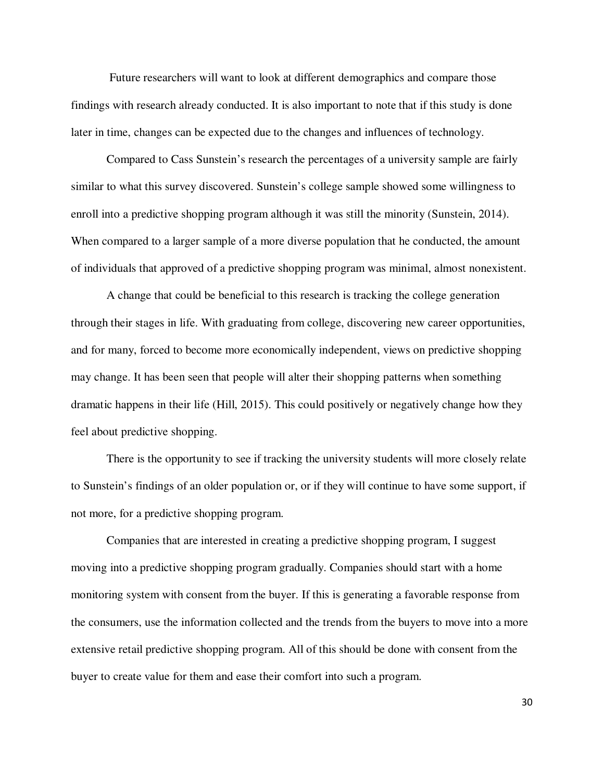Future researchers will want to look at different demographics and compare those findings with research already conducted. It is also important to note that if this study is done later in time, changes can be expected due to the changes and influences of technology.

Compared to Cass Sunstein's research the percentages of a university sample are fairly similar to what this survey discovered. Sunstein's college sample showed some willingness to enroll into a predictive shopping program although it was still the minority (Sunstein, 2014). When compared to a larger sample of a more diverse population that he conducted, the amount of individuals that approved of a predictive shopping program was minimal, almost nonexistent.

A change that could be beneficial to this research is tracking the college generation through their stages in life. With graduating from college, discovering new career opportunities, and for many, forced to become more economically independent, views on predictive shopping may change. It has been seen that people will alter their shopping patterns when something dramatic happens in their life (Hill, 2015). This could positively or negatively change how they feel about predictive shopping.

There is the opportunity to see if tracking the university students will more closely relate to Sunstein's findings of an older population or, or if they will continue to have some support, if not more, for a predictive shopping program.

Companies that are interested in creating a predictive shopping program, I suggest moving into a predictive shopping program gradually. Companies should start with a home monitoring system with consent from the buyer. If this is generating a favorable response from the consumers, use the information collected and the trends from the buyers to move into a more extensive retail predictive shopping program. All of this should be done with consent from the buyer to create value for them and ease their comfort into such a program.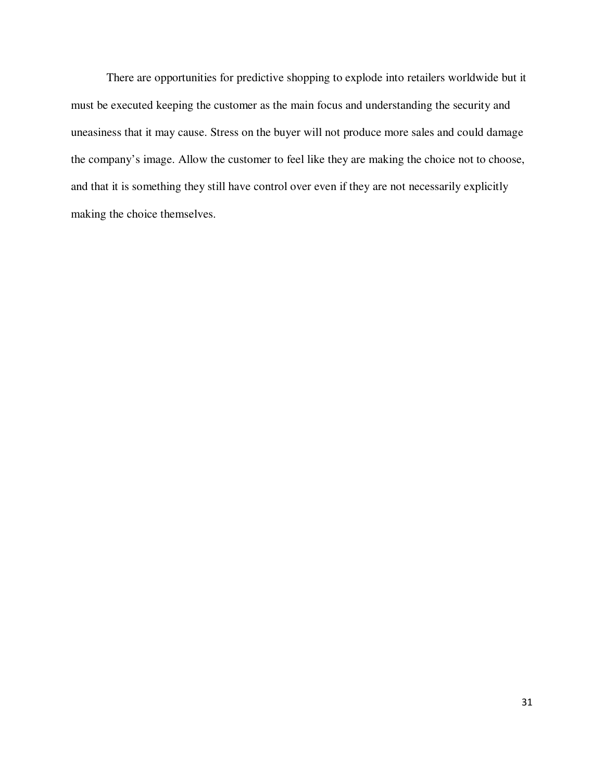There are opportunities for predictive shopping to explode into retailers worldwide but it must be executed keeping the customer as the main focus and understanding the security and uneasiness that it may cause. Stress on the buyer will not produce more sales and could damage the company's image. Allow the customer to feel like they are making the choice not to choose, and that it is something they still have control over even if they are not necessarily explicitly making the choice themselves.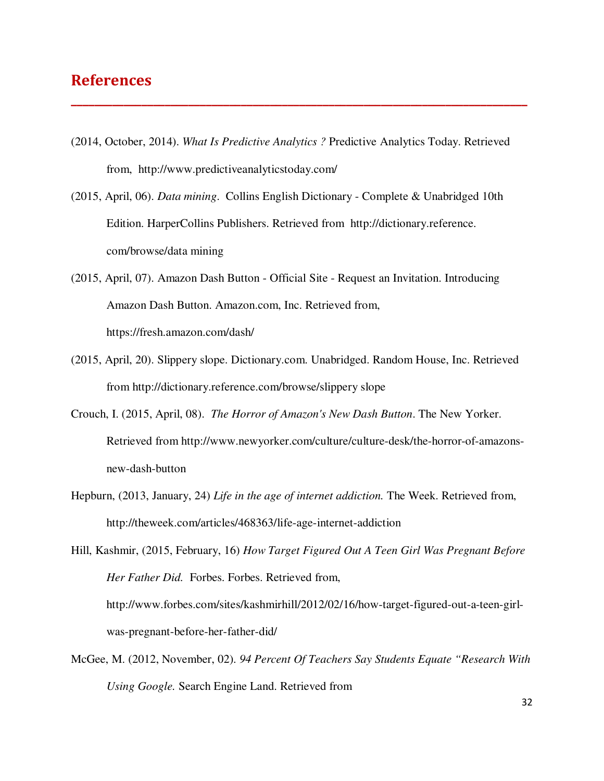#### **References**

(2014, October, 2014). *What Is Predictive Analytics ?* Predictive Analytics Today. Retrieved from, http://www.predictiveanalyticstoday.com/

**\_\_\_\_\_\_\_\_\_\_\_\_\_\_\_\_\_\_\_\_\_\_\_\_\_\_\_\_\_\_\_\_\_\_\_\_\_\_\_\_\_\_\_\_\_\_\_\_\_\_\_\_\_\_\_\_\_\_\_\_\_\_\_\_\_\_\_\_\_\_\_\_\_\_\_\_\_\_**

- (2015, April, 06). *Data mining*. Collins English Dictionary Complete & Unabridged 10th Edition. HarperCollins Publishers. Retrieved from http://dictionary.reference. com/browse/data mining
- (2015, April, 07). Amazon Dash Button Official Site Request an Invitation. Introducing Amazon Dash Button. Amazon.com, Inc. Retrieved from, https://fresh.amazon.com/dash/
- (2015, April, 20). Slippery slope. Dictionary.com. Unabridged. Random House, Inc. Retrieved from http://dictionary.reference.com/browse/slippery slope
- Crouch, I. (2015, April, 08). *The Horror of Amazon's New Dash Button*. The New Yorker. Retrieved from http://www.newyorker.com/culture/culture-desk/the-horror-of-amazonsnew-dash-button
- Hepburn, (2013, January, 24) *Life in the age of internet addiction.* The Week. Retrieved from, http://theweek.com/articles/468363/life-age-internet-addiction

Hill, Kashmir, (2015, February, 16) *How Target Figured Out A Teen Girl Was Pregnant Before Her Father Did.* Forbes. Forbes. Retrieved from, http://www.forbes.com/sites/kashmirhill/2012/02/16/how-target-figured-out-a-teen-girlwas-pregnant-before-her-father-did/

McGee, M. (2012, November, 02). *94 Percent Of Teachers Say Students Equate "Research With Using Google.* Search Engine Land. Retrieved from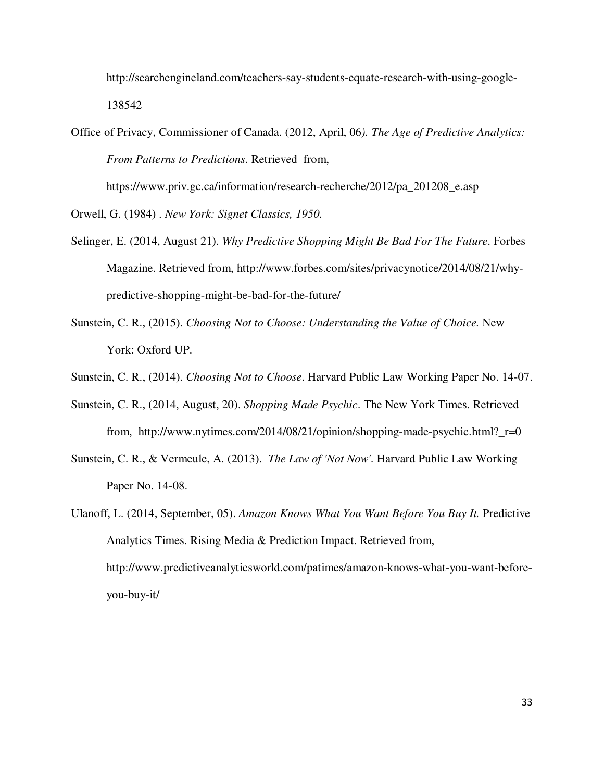http://searchengineland.com/teachers-say-students-equate-research-with-using-google-138542

Office of Privacy, Commissioner of Canada. (2012, April, 06*). The Age of Predictive Analytics: From Patterns to Predictions*. Retrieved from,

https://www.priv.gc.ca/information/research-recherche/2012/pa\_201208\_e.asp

Orwell, G. (1984) . *New York: Signet Classics, 1950.*

- Selinger, E. (2014, August 21). *Why Predictive Shopping Might Be Bad For The Future*. Forbes Magazine. Retrieved from, http://www.forbes.com/sites/privacynotice/2014/08/21/whypredictive-shopping-might-be-bad-for-the-future/
- Sunstein, C. R., (2015). *Choosing Not to Choose: Understanding the Value of Choice.* New York: Oxford UP.
- Sunstein, C. R., (2014). *Choosing Not to Choose*. Harvard Public Law Working Paper No. 14-07.
- Sunstein, C. R., (2014, August, 20). *Shopping Made Psychic*. The New York Times. Retrieved from, http://www.nytimes.com/2014/08/21/opinion/shopping-made-psychic.html?\_r=0
- Sunstein, C. R., & Vermeule, A. (2013). *The Law of 'Not Now'*. Harvard Public Law Working Paper No. 14-08.
- Ulanoff, L. (2014, September, 05). *Amazon Knows What You Want Before You Buy It.* Predictive Analytics Times. Rising Media & Prediction Impact. Retrieved from, http://www.predictiveanalyticsworld.com/patimes/amazon-knows-what-you-want-beforeyou-buy-it/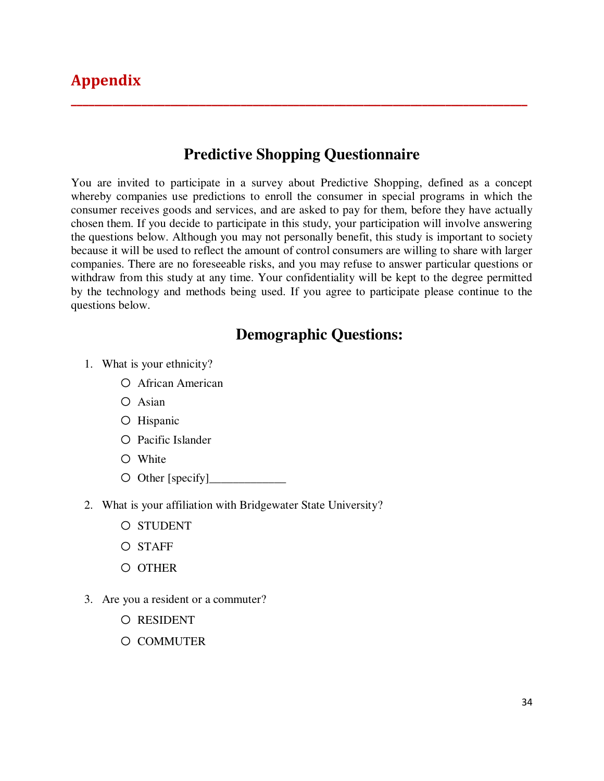#### **Predictive Shopping Questionnaire**

**\_\_\_\_\_\_\_\_\_\_\_\_\_\_\_\_\_\_\_\_\_\_\_\_\_\_\_\_\_\_\_\_\_\_\_\_\_\_\_\_\_\_\_\_\_\_\_\_\_\_\_\_\_\_\_\_\_\_\_\_\_\_\_\_\_\_\_\_\_\_\_\_\_\_\_\_\_\_** 

You are invited to participate in a survey about Predictive Shopping, defined as a concept whereby companies use predictions to enroll the consumer in special programs in which the consumer receives goods and services, and are asked to pay for them, before they have actually chosen them. If you decide to participate in this study, your participation will involve answering the questions below. Although you may not personally benefit, this study is important to society because it will be used to reflect the amount of control consumers are willing to share with larger companies. There are no foreseeable risks, and you may refuse to answer particular questions or withdraw from this study at any time. Your confidentiality will be kept to the degree permitted by the technology and methods being used. If you agree to participate please continue to the questions below.

#### **Demographic Questions:**

- 1. What is your ethnicity?
	- o African American
	- o Asian
	- o Hispanic
	- o Pacific Islander
	- o White
	- $\circ$  Other [specify]\_
- 2. What is your affiliation with Bridgewater State University?
	- o STUDENT
	- o STAFF
	- o OTHER
- 3. Are you a resident or a commuter?
	- o RESIDENT
	- o COMMUTER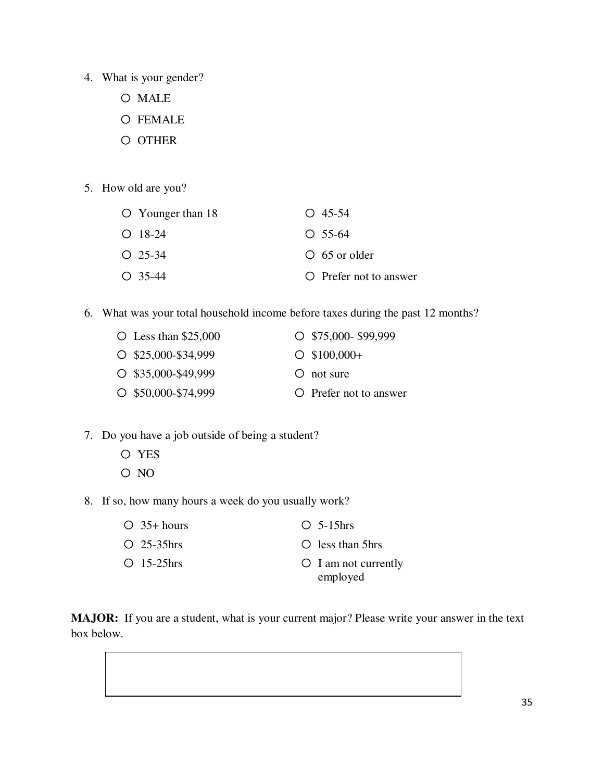- 4. What is your gender?
	- o MALE
	- o FEMALE
	- o OTHER
- 5. How old are you?

| $\circ$ Younger than 18 | $O$ 45-54              |
|-------------------------|------------------------|
| $O$ 18-24               | $\bigcirc$ 55-64       |
| $O$ 25-34               | $\circ$ 65 or older    |
| $O$ 35-44               | O Prefer not to answer |

6. What was your total household income before taxes during the past 12 months?

| $\circ$ Less than \$25,000 | $O$ \$75,000-\$99,999  |
|----------------------------|------------------------|
| $O$ \$25,000-\$34,999      | $\circ$ \$100,000+     |
| $O$ \$35,000-\$49,999      | $\circ$ not sure       |
| $O$ \$50,000-\$74,999      | O Prefer not to answer |

- 7. Do you have a job outside of being a student?
	- o YES
	- o NO
- 8. If so, how many hours a week do you usually work?

| $\bigcirc$ 35+ hours     | $O$ 5-15 hrs               |
|--------------------------|----------------------------|
| $\overline{O}$ 25-35 hrs | $\circ$ less than 5hrs     |
| $\bigcirc$ 15-25 hrs     | $\circ$ I am not currently |
|                          | employed                   |

**MAJOR:** If you are a student, what is your current major? Please write your answer in the text box below.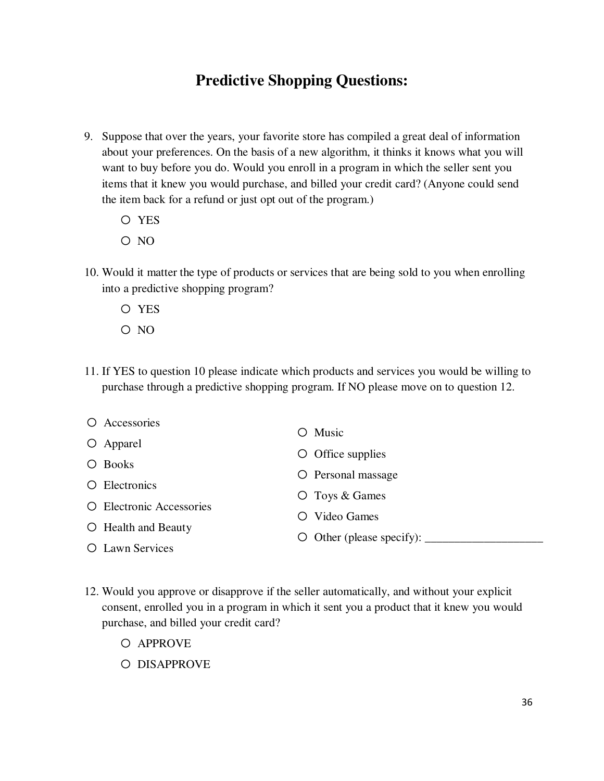#### **Predictive Shopping Questions:**

- 9. Suppose that over the years, your favorite store has compiled a great deal of information about your preferences. On the basis of a new algorithm, it thinks it knows what you will want to buy before you do. Would you enroll in a program in which the seller sent you items that it knew you would purchase, and billed your credit card? (Anyone could send the item back for a refund or just opt out of the program.)
	- o YES
	- o NO
- 10. Would it matter the type of products or services that are being sold to you when enrolling into a predictive shopping program?
	- o YES
	- o NO
- 11. If YES to question 10 please indicate which products and services you would be willing to purchase through a predictive shopping program. If NO please move on to question 12.

| O Accessories             | Music<br>$\left( \quad \right)$                              |
|---------------------------|--------------------------------------------------------------|
| $\circ$ Apparel           |                                                              |
| O Books                   | $\circ$ Office supplies                                      |
|                           | O Personal massage                                           |
| O Electronics             | $\circ$ Toys & Games                                         |
| O Electronic Accessories  |                                                              |
| $\circ$ Health and Beauty | Video Games<br>$\left( \begin{array}{c} \end{array} \right)$ |
|                           | $\circ$ Other (please specify): $\_\_$                       |
| O Lawn Services           |                                                              |

- 12. Would you approve or disapprove if the seller automatically, and without your explicit consent, enrolled you in a program in which it sent you a product that it knew you would purchase, and billed your credit card?
	- o APPROVE
	- o DISAPPROVE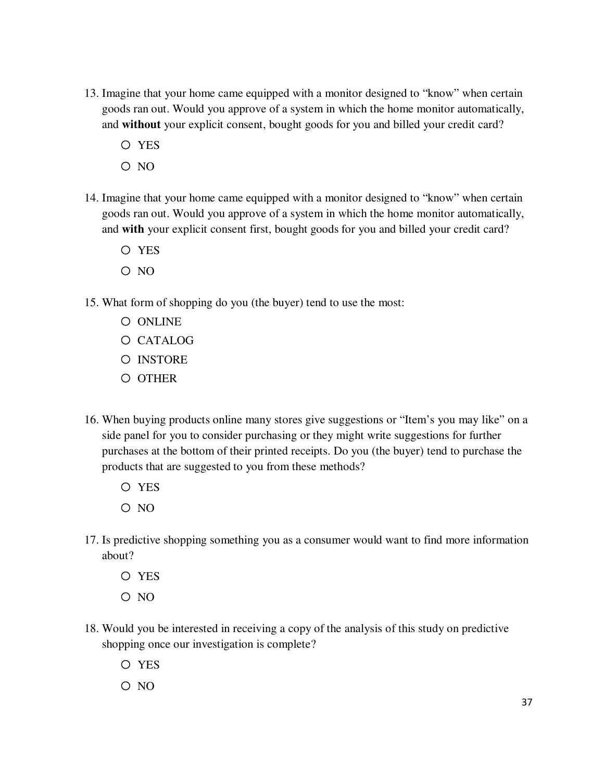- 13. Imagine that your home came equipped with a monitor designed to "know" when certain goods ran out. Would you approve of a system in which the home monitor automatically, and **without** your explicit consent, bought goods for you and billed your credit card?
	- o YES
	- $O NO$
- 14. Imagine that your home came equipped with a monitor designed to "know" when certain goods ran out. Would you approve of a system in which the home monitor automatically, and **with** your explicit consent first, bought goods for you and billed your credit card?
	- o YES
	- o NO
- 15. What form of shopping do you (the buyer) tend to use the most:
	- o ONLINE
	- o CATALOG
	- o INSTORE
	- o OTHER
- 16. When buying products online many stores give suggestions or "Item's you may like" on a side panel for you to consider purchasing or they might write suggestions for further purchases at the bottom of their printed receipts. Do you (the buyer) tend to purchase the products that are suggested to you from these methods?
	- o YES
	- $O NO$
- 17. Is predictive shopping something you as a consumer would want to find more information about?
	- o YES
	- o NO
- 18. Would you be interested in receiving a copy of the analysis of this study on predictive shopping once our investigation is complete?
	- o YES
	- o NO